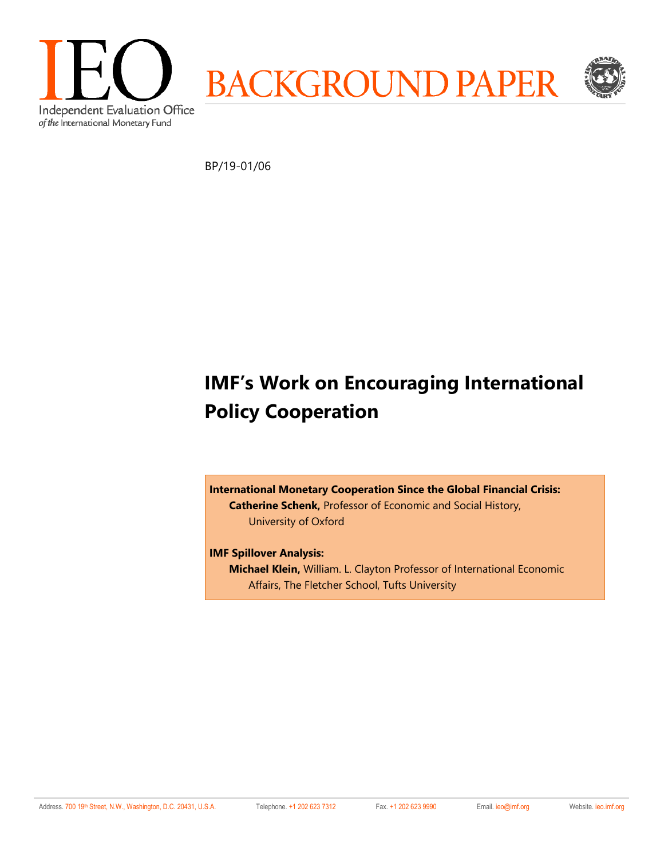

BP/19-01/06

# **IMF's Work on Encouraging International Policy Cooperation**

**International Monetary Cooperation Since the Global Financial Crisis: Catherine Schenk,** Professor of Economic and Social History, University of Oxford

**IMF Spillover Analysis: Michael Klein,** William. L. Clayton Professor of International Economic Affairs, The Fletcher School, Tufts University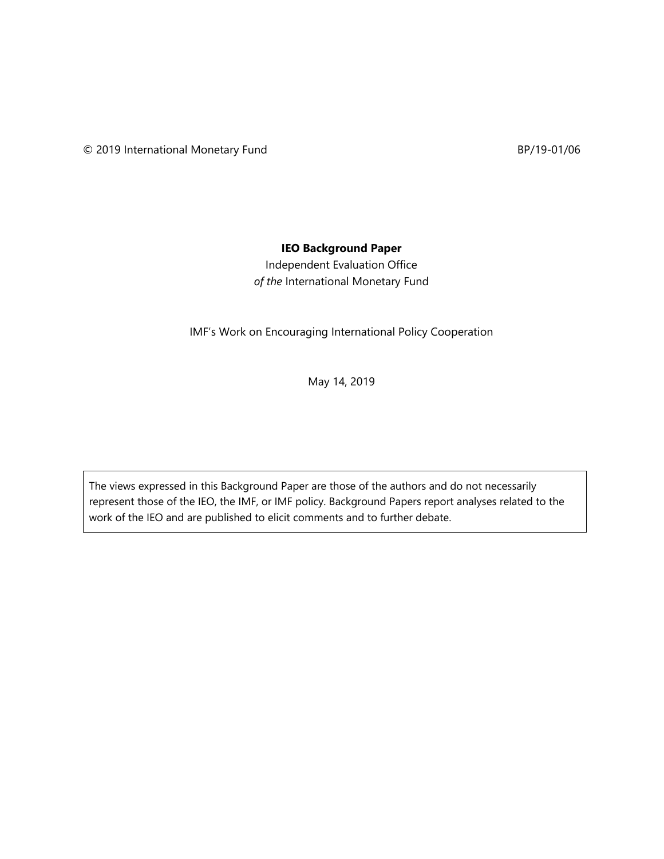## **IEO Background Paper**

Independent Evaluation Office *of the* International Monetary Fund

IMF's Work on Encouraging International Policy Cooperation

May 14, 2019

The views expressed in this Background Paper are those of the authors and do not necessarily represent those of the IEO, the IMF, or IMF policy. Background Papers report analyses related to the work of the IEO and are published to elicit comments and to further debate.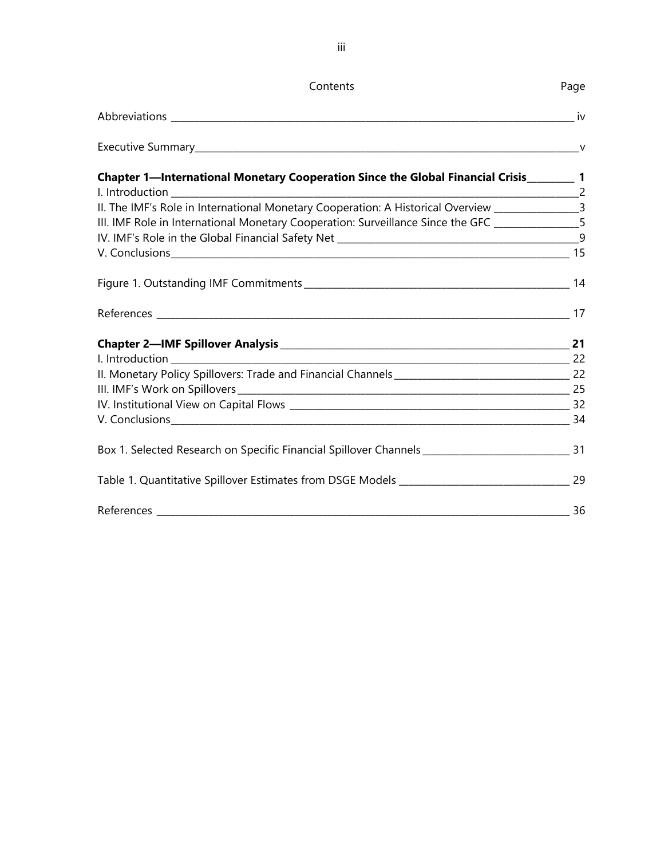| Contents                                                                                               | Page |
|--------------------------------------------------------------------------------------------------------|------|
|                                                                                                        |      |
|                                                                                                        |      |
| Chapter 1—International Monetary Cooperation Since the Global Financial Crisis_________ 1              |      |
|                                                                                                        |      |
| II. The IMF's Role in International Monetary Cooperation: A Historical Overview ________________3      |      |
| III. IMF Role in International Monetary Cooperation: Surveillance Since the GFC _______________5       |      |
|                                                                                                        |      |
|                                                                                                        |      |
|                                                                                                        |      |
|                                                                                                        |      |
|                                                                                                        |      |
|                                                                                                        |      |
|                                                                                                        |      |
|                                                                                                        |      |
|                                                                                                        |      |
|                                                                                                        |      |
| Box 1. Selected Research on Specific Financial Spillover Channels _________________________________ 31 |      |
|                                                                                                        |      |
|                                                                                                        |      |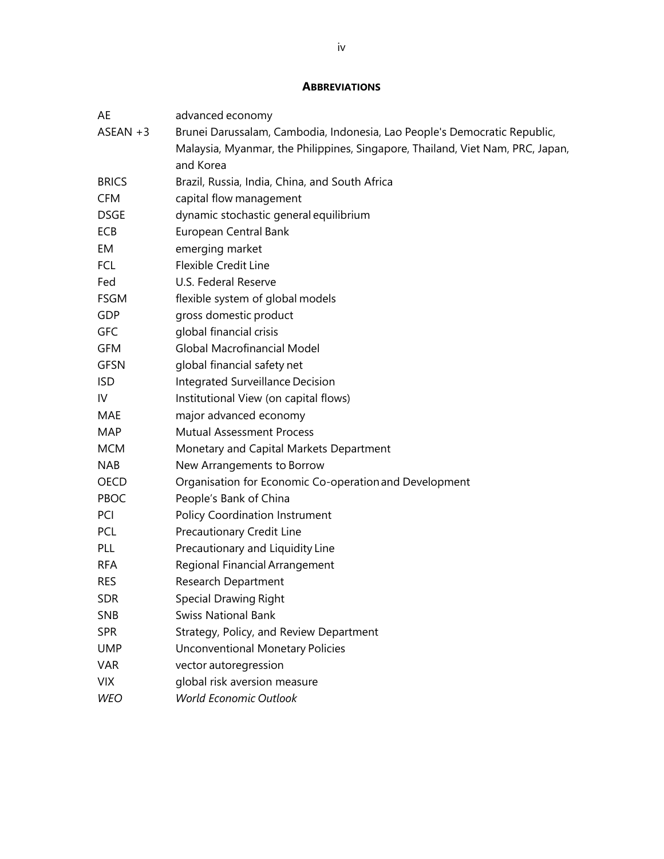### **ABBREVIATIONS**

| AE           | advanced economy                                                               |  |  |  |  |
|--------------|--------------------------------------------------------------------------------|--|--|--|--|
| $ASEAN +3$   | Brunei Darussalam, Cambodia, Indonesia, Lao People's Democratic Republic,      |  |  |  |  |
|              | Malaysia, Myanmar, the Philippines, Singapore, Thailand, Viet Nam, PRC, Japan, |  |  |  |  |
|              | and Korea                                                                      |  |  |  |  |
| <b>BRICS</b> | Brazil, Russia, India, China, and South Africa                                 |  |  |  |  |
| <b>CFM</b>   | capital flow management                                                        |  |  |  |  |
| DSGE         | dynamic stochastic general equilibrium                                         |  |  |  |  |
| <b>ECB</b>   | European Central Bank                                                          |  |  |  |  |
| EM           | emerging market                                                                |  |  |  |  |
| <b>FCL</b>   | <b>Flexible Credit Line</b>                                                    |  |  |  |  |
| Fed          | U.S. Federal Reserve                                                           |  |  |  |  |
| <b>FSGM</b>  | flexible system of global models                                               |  |  |  |  |
| GDP          | gross domestic product                                                         |  |  |  |  |
| <b>GFC</b>   | global financial crisis                                                        |  |  |  |  |
| GFM          | Global Macrofinancial Model                                                    |  |  |  |  |
| <b>GFSN</b>  | global financial safety net                                                    |  |  |  |  |
| ISD.         | Integrated Surveillance Decision                                               |  |  |  |  |
| IV           | Institutional View (on capital flows)                                          |  |  |  |  |
| MAE          | major advanced economy                                                         |  |  |  |  |
| <b>MAP</b>   | <b>Mutual Assessment Process</b>                                               |  |  |  |  |
| <b>MCM</b>   | Monetary and Capital Markets Department                                        |  |  |  |  |
| <b>NAB</b>   | New Arrangements to Borrow                                                     |  |  |  |  |
| OECD         | Organisation for Economic Co-operation and Development                         |  |  |  |  |
| PBOC         | People's Bank of China                                                         |  |  |  |  |
| PCI          | <b>Policy Coordination Instrument</b>                                          |  |  |  |  |
| <b>PCL</b>   | Precautionary Credit Line                                                      |  |  |  |  |
| <b>PLL</b>   | Precautionary and Liquidity Line                                               |  |  |  |  |
| <b>RFA</b>   | Regional Financial Arrangement                                                 |  |  |  |  |
| <b>RES</b>   | <b>Research Department</b>                                                     |  |  |  |  |
| <b>SDR</b>   | Special Drawing Right                                                          |  |  |  |  |
| <b>SNB</b>   | <b>Swiss National Bank</b>                                                     |  |  |  |  |
| <b>SPR</b>   | Strategy, Policy, and Review Department                                        |  |  |  |  |
| <b>UMP</b>   | <b>Unconventional Monetary Policies</b>                                        |  |  |  |  |
| <b>VAR</b>   | vector autoregression                                                          |  |  |  |  |
| <b>VIX</b>   | global risk aversion measure                                                   |  |  |  |  |
| <b>WEO</b>   | <b>World Economic Outlook</b>                                                  |  |  |  |  |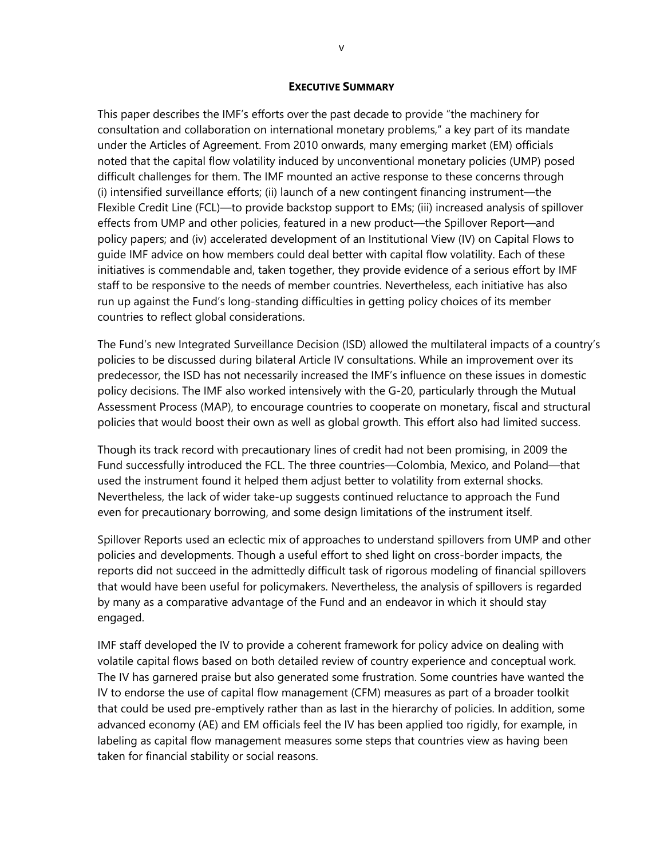### **EXECUTIVE SUMMARY**

This paper describes the IMF's efforts over the past decade to provide "the machinery for consultation and collaboration on international monetary problems," a key part of its mandate under the Articles of Agreement. From 2010 onwards, many emerging market (EM) officials noted that the capital flow volatility induced by unconventional monetary policies (UMP) posed difficult challenges for them. The IMF mounted an active response to these concerns through (i) intensified surveillance efforts; (ii) launch of a new contingent financing instrument—the Flexible Credit Line (FCL)—to provide backstop support to EMs; (iii) increased analysis of spillover effects from UMP and other policies, featured in a new product—the Spillover Report—and policy papers; and (iv) accelerated development of an Institutional View (IV) on Capital Flows to guide IMF advice on how members could deal better with capital flow volatility. Each of these initiatives is commendable and, taken together, they provide evidence of a serious effort by IMF staff to be responsive to the needs of member countries. Nevertheless, each initiative has also run up against the Fund's long-standing difficulties in getting policy choices of its member countries to reflect global considerations.

The Fund's new Integrated Surveillance Decision (ISD) allowed the multilateral impacts of a country's policies to be discussed during bilateral Article IV consultations. While an improvement over its predecessor, the ISD has not necessarily increased the IMF's influence on these issues in domestic policy decisions. The IMF also worked intensively with the G-20, particularly through the Mutual Assessment Process (MAP), to encourage countries to cooperate on monetary, fiscal and structural policies that would boost their own as well as global growth. This effort also had limited success.

Though its track record with precautionary lines of credit had not been promising, in 2009 the Fund successfully introduced the FCL. The three countries—Colombia, Mexico, and Poland—that used the instrument found it helped them adjust better to volatility from external shocks. Nevertheless, the lack of wider take-up suggests continued reluctance to approach the Fund even for precautionary borrowing, and some design limitations of the instrument itself.

Spillover Reports used an eclectic mix of approaches to understand spillovers from UMP and other policies and developments. Though a useful effort to shed light on cross-border impacts, the reports did not succeed in the admittedly difficult task of rigorous modeling of financial spillovers that would have been useful for policymakers. Nevertheless, the analysis of spillovers is regarded by many as a comparative advantage of the Fund and an endeavor in which it should stay engaged.

IMF staff developed the IV to provide a coherent framework for policy advice on dealing with volatile capital flows based on both detailed review of country experience and conceptual work. The IV has garnered praise but also generated some frustration. Some countries have wanted the IV to endorse the use of capital flow management (CFM) measures as part of a broader toolkit that could be used pre-emptively rather than as last in the hierarchy of policies. In addition, some advanced economy (AE) and EM officials feel the IV has been applied too rigidly, for example, in labeling as capital flow management measures some steps that countries view as having been taken for financial stability or social reasons.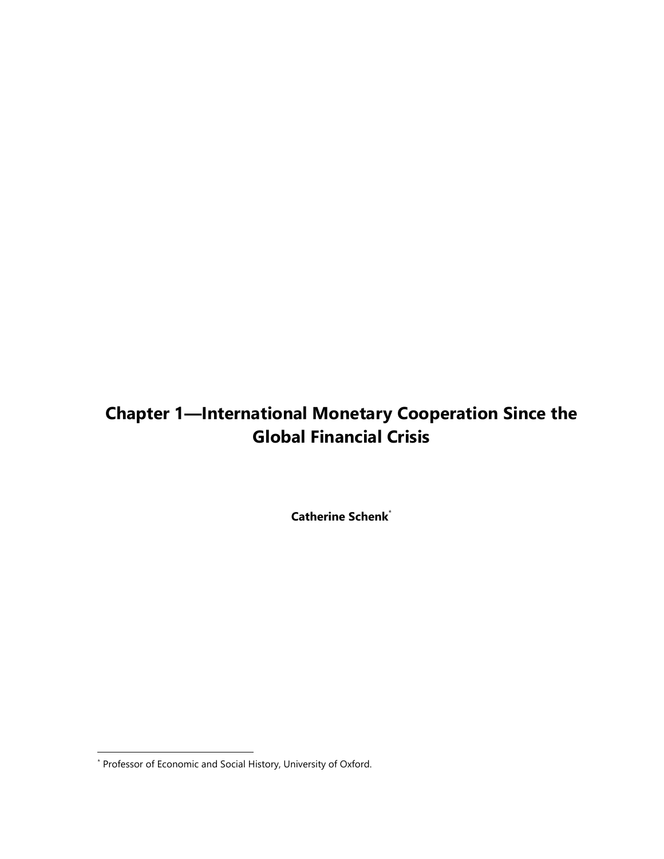## **Chapter 1—International Monetary Cooperation Since the Global Financial Crisis**

**Catherine Schenk**\*

l

<sup>\*</sup> Professor of Economic and Social History, University of Oxford.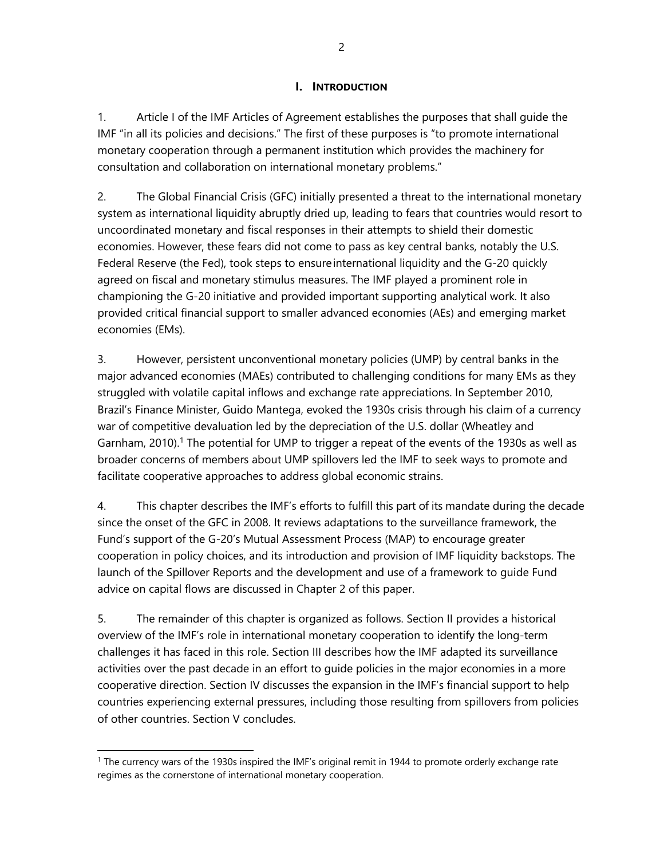### **I. INTRODUCTION**

1. Article I of the IMF Articles of Agreement establishes the purposes that shall guide the IMF "in all its policies and decisions." The first of these purposes is "to promote international monetary cooperation through a permanent institution which provides the machinery for consultation and collaboration on international monetary problems."

2. The Global Financial Crisis (GFC) initially presented a threat to the international monetary system as international liquidity abruptly dried up, leading to fears that countries would resort to uncoordinated monetary and fiscal responses in their attempts to shield their domestic economies. However, these fears did not come to pass as key central banks, notably the U.S. Federal Reserve (the Fed), took steps to ensure international liquidity and the G-20 quickly agreed on fiscal and monetary stimulus measures. The IMF played a prominent role in championing the G-20 initiative and provided important supporting analytical work. It also provided critical financial support to smaller advanced economies (AEs) and emerging market economies (EMs).

3. However, persistent unconventional monetary policies (UMP) by central banks in the major advanced economies (MAEs) contributed to challenging conditions for many EMs as they struggled with volatile capital inflows and exchange rate appreciations. In September 2010, Brazil's Finance Minister, Guido Mantega, evoked the 1930s crisis through his claim of a currency war of competitive devaluation led by the depreciation of the U.S. dollar (Wheatley and Garnham, 2010).<sup>1</sup> The potential for UMP to trigger a repeat of the events of the 1930s as well as broader concerns of members about UMP spillovers led the IMF to seek ways to promote and facilitate cooperative approaches to address global economic strains.

4. This chapter describes the IMF's efforts to fulfill this part of its mandate during the decade since the onset of the GFC in 2008. It reviews adaptations to the surveillance framework, the Fund's support of the G-20's Mutual Assessment Process (MAP) to encourage greater cooperation in policy choices, and its introduction and provision of IMF liquidity backstops. The launch of the Spillover Reports and the development and use of a framework to guide Fund advice on capital flows are discussed in Chapter 2 of this paper.

5. The remainder of this chapter is organized as follows. Section II provides a historical overview of the IMF's role in international monetary cooperation to identify the long-term challenges it has faced in this role. Section III describes how the IMF adapted its surveillance activities over the past decade in an effort to guide policies in the major economies in a more cooperative direction. Section IV discusses the expansion in the IMF's financial support to help countries experiencing external pressures, including those resulting from spillovers from policies of other countries. Section V concludes.

<sup>1</sup> The currency wars of the 1930s inspired the IMF's original remit in 1944 to promote orderly exchange rate regimes as the cornerstone of international monetary cooperation.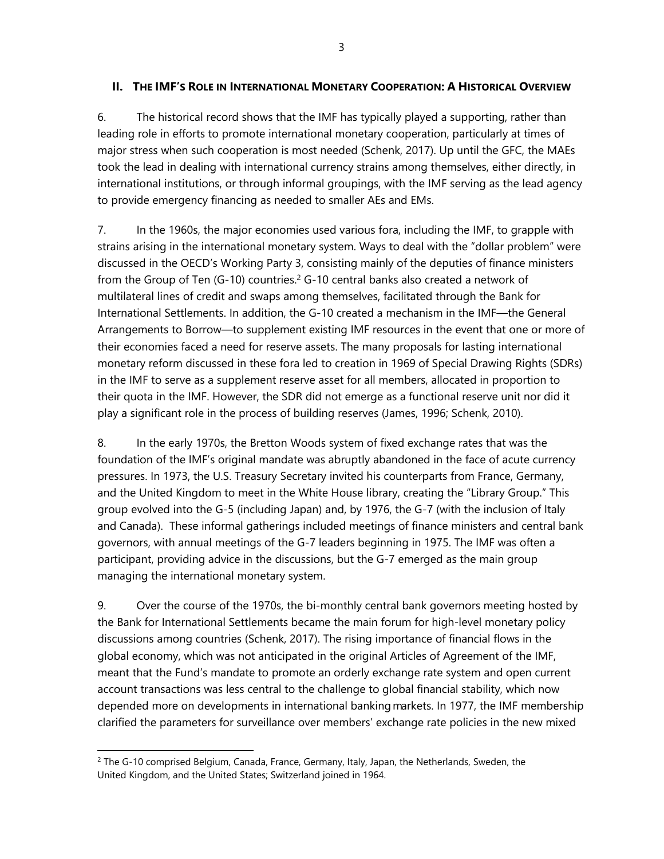### **II. THE IMF'S ROLE IN INTERNATIONAL MONETARY COOPERATION: A HISTORICAL OVERVIEW**

6. The historical record shows that the IMF has typically played a supporting, rather than leading role in efforts to promote international monetary cooperation, particularly at times of major stress when such cooperation is most needed (Schenk, 2017). Up until the GFC, the MAEs took the lead in dealing with international currency strains among themselves, either directly, in international institutions, or through informal groupings, with the IMF serving as the lead agency to provide emergency financing as needed to smaller AEs and EMs.

7. In the 1960s, the major economies used various fora, including the IMF, to grapple with strains arising in the international monetary system. Ways to deal with the "dollar problem" were discussed in the OECD's Working Party 3, consisting mainly of the deputies of finance ministers from the Group of Ten (G-10) countries.<sup>2</sup> G-10 central banks also created a network of multilateral lines of credit and swaps among themselves, facilitated through the Bank for International Settlements. In addition, the G-10 created a mechanism in the IMF—the General Arrangements to Borrow—to supplement existing IMF resources in the event that one or more of their economies faced a need for reserve assets. The many proposals for lasting international monetary reform discussed in these fora led to creation in 1969 of Special Drawing Rights (SDRs) in the IMF to serve as a supplement reserve asset for all members, allocated in proportion to their quota in the IMF. However, the SDR did not emerge as a functional reserve unit nor did it play a significant role in the process of building reserves (James, 1996; Schenk, 2010).

8. In the early 1970s, the Bretton Woods system of fixed exchange rates that was the foundation of the IMF's original mandate was abruptly abandoned in the face of acute currency pressures. In 1973, the U.S. Treasury Secretary invited his counterparts from France, Germany, and the United Kingdom to meet in the White House library, creating the "Library Group." This group evolved into the G-5 (including Japan) and, by 1976, the G-7 (with the inclusion of Italy and Canada). These informal gatherings included meetings of finance ministers and central bank governors, with annual meetings of the G-7 leaders beginning in 1975. The IMF was often a participant, providing advice in the discussions, but the G-7 emerged as the main group managing the international monetary system.

9. Over the course of the 1970s, the bi-monthly central bank governors meeting hosted by the Bank for International Settlements became the main forum for high-level monetary policy discussions among countries (Schenk, 2017). The rising importance of financial flows in the global economy, which was not anticipated in the original Articles of Agreement of the IMF, meant that the Fund's mandate to promote an orderly exchange rate system and open current account transactions was less central to the challenge to global financial stability, which now depended more on developments in international banking markets. In 1977, the IMF membership clarified the parameters for surveillance over members' exchange rate policies in the new mixed

 $2$  The G-10 comprised Belgium, Canada, France, Germany, Italy, Japan, the Netherlands, Sweden, the United Kingdom, and the United States; Switzerland joined in 1964.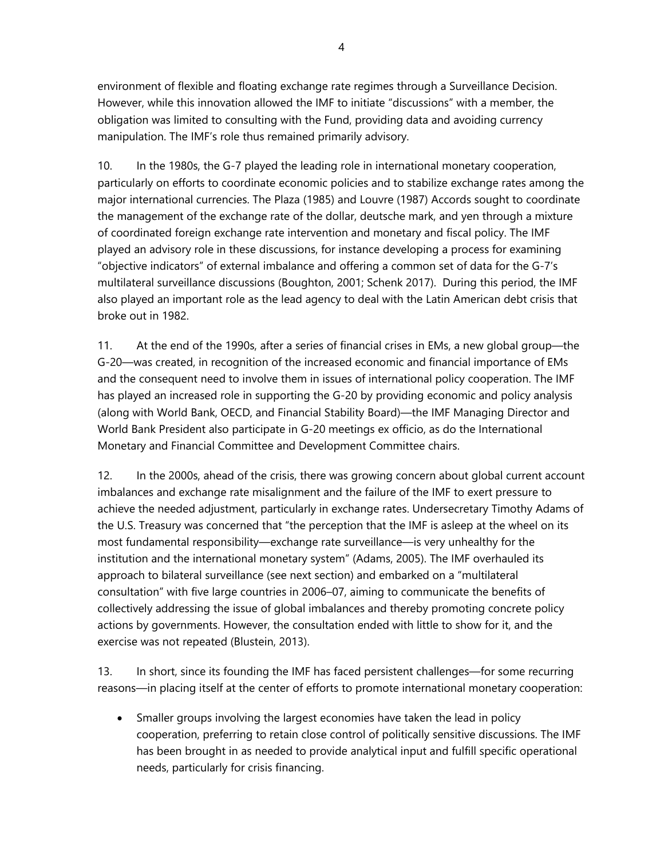environment of flexible and floating exchange rate regimes through a Surveillance Decision. However, while this innovation allowed the IMF to initiate "discussions" with a member, the obligation was limited to consulting with the Fund, providing data and avoiding currency manipulation. The IMF's role thus remained primarily advisory.

10. In the 1980s, the G-7 played the leading role in international monetary cooperation, particularly on efforts to coordinate economic policies and to stabilize exchange rates among the major international currencies. The Plaza (1985) and Louvre (1987) Accords sought to coordinate the management of the exchange rate of the dollar, deutsche mark, and yen through a mixture of coordinated foreign exchange rate intervention and monetary and fiscal policy. The IMF played an advisory role in these discussions, for instance developing a process for examining "objective indicators" of external imbalance and offering a common set of data for the G-7's multilateral surveillance discussions (Boughton, 2001; Schenk 2017). During this period, the IMF also played an important role as the lead agency to deal with the Latin American debt crisis that broke out in 1982.

11. At the end of the 1990s, after a series of financial crises in EMs, a new global group—the G-20—was created, in recognition of the increased economic and financial importance of EMs and the consequent need to involve them in issues of international policy cooperation. The IMF has played an increased role in supporting the G-20 by providing economic and policy analysis (along with World Bank, OECD, and Financial Stability Board)—the IMF Managing Director and World Bank President also participate in G-20 meetings ex officio, as do the International Monetary and Financial Committee and Development Committee chairs.

12. In the 2000s, ahead of the crisis, there was growing concern about global current account imbalances and exchange rate misalignment and the failure of the IMF to exert pressure to achieve the needed adjustment, particularly in exchange rates. Undersecretary Timothy Adams of the U.S. Treasury was concerned that "the perception that the IMF is asleep at the wheel on its most fundamental responsibility—exchange rate surveillance—is very unhealthy for the institution and the international monetary system" (Adams, 2005). The IMF overhauled its approach to bilateral surveillance (see next section) and embarked on a "multilateral consultation" with five large countries in 2006–07, aiming to communicate the benefits of collectively addressing the issue of global imbalances and thereby promoting concrete policy actions by governments. However, the consultation ended with little to show for it, and the exercise was not repeated (Blustein, 2013).

13. In short, since its founding the IMF has faced persistent challenges—for some recurring reasons—in placing itself at the center of efforts to promote international monetary cooperation:

• Smaller groups involving the largest economies have taken the lead in policy cooperation, preferring to retain close control of politically sensitive discussions. The IMF has been brought in as needed to provide analytical input and fulfill specific operational needs, particularly for crisis financing.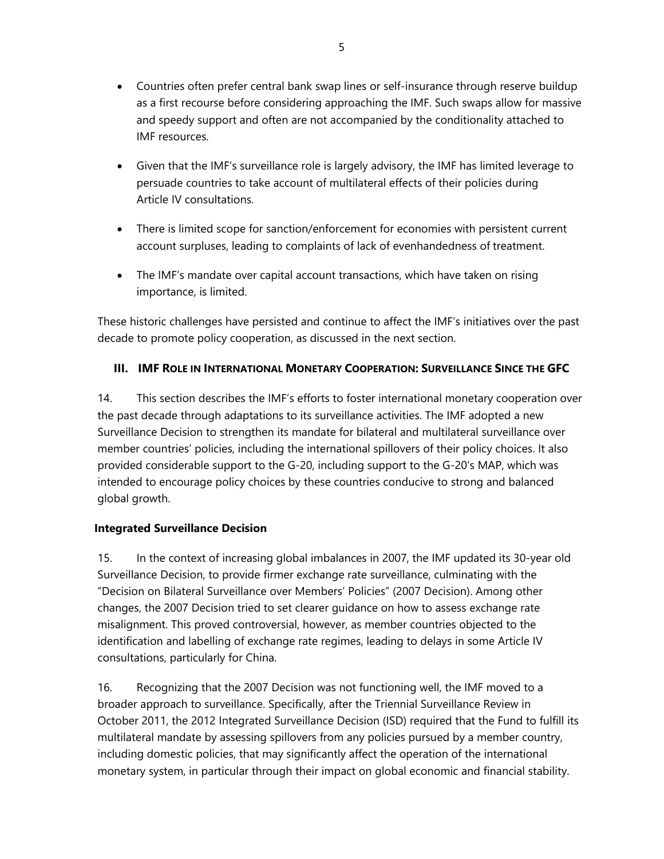- Countries often prefer central bank swap lines or self-insurance through reserve buildup as a first recourse before considering approaching the IMF. Such swaps allow for massive and speedy support and often are not accompanied by the conditionality attached to IMF resources.
- Given that the IMF's surveillance role is largely advisory, the IMF has limited leverage to persuade countries to take account of multilateral effects of their policies during Article IV consultations.
- There is limited scope for sanction/enforcement for economies with persistent current account surpluses, leading to complaints of lack of evenhandedness of treatment.
- The IMF's mandate over capital account transactions, which have taken on rising importance, is limited.

These historic challenges have persisted and continue to affect the IMF's initiatives over the past decade to promote policy cooperation, as discussed in the next section.

## **III. IMF ROLE IN INTERNATIONAL MONETARY COOPERATION: SURVEILLANCE SINCE THE GFC**

14. This section describes the IMF's efforts to foster international monetary cooperation over the past decade through adaptations to its surveillance activities. The IMF adopted a new Surveillance Decision to strengthen its mandate for bilateral and multilateral surveillance over member countries' policies, including the international spillovers of their policy choices. It also provided considerable support to the G-20, including support to the G-20's MAP, which was intended to encourage policy choices by these countries conducive to strong and balanced global growth.

## **Integrated Surveillance Decision**

15. In the context of increasing global imbalances in 2007, the IMF updated its 30-year old Surveillance Decision, to provide firmer exchange rate surveillance, culminating with the "Decision on Bilateral Surveillance over Members' Policies" (2007 Decision). Among other changes, the 2007 Decision tried to set clearer guidance on how to assess exchange rate misalignment. This proved controversial, however, as member countries objected to the identification and labelling of exchange rate regimes, leading to delays in some Article IV consultations, particularly for China.

16. Recognizing that the 2007 Decision was not functioning well, the IMF moved to a broader approach to surveillance. Specifically, after the Triennial Surveillance Review in October 2011, the 2012 Integrated Surveillance Decision (ISD) required that the Fund to fulfill its multilateral mandate by assessing spillovers from any policies pursued by a member country, including domestic policies, that may significantly affect the operation of the international monetary system, in particular through their impact on global economic and financial stability.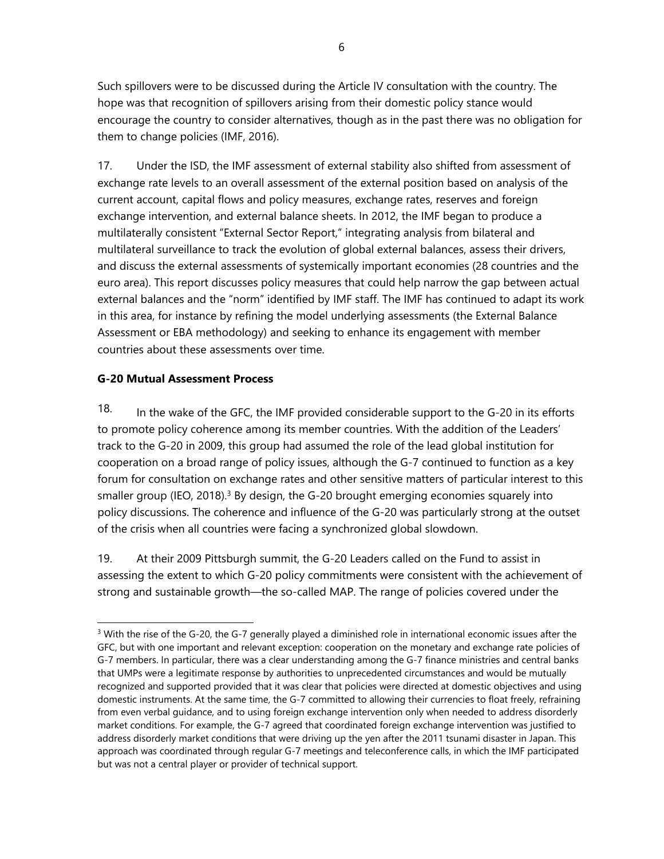Such spillovers were to be discussed during the Article IV consultation with the country. The hope was that recognition of spillovers arising from their domestic policy stance would encourage the country to consider alternatives, though as in the past there was no obligation for them to change policies (IMF, 2016).

17. Under the ISD, the IMF assessment of external stability also shifted from assessment of exchange rate levels to an overall assessment of the external position based on analysis of the current account, capital flows and policy measures, exchange rates, reserves and foreign exchange intervention, and external balance sheets. In 2012, the IMF began to produce a multilaterally consistent "External Sector Report," integrating analysis from bilateral and multilateral surveillance to track the evolution of global external balances, assess their drivers, and discuss the external assessments of systemically important economies (28 countries and the euro area). This report discusses policy measures that could help narrow the gap between actual external balances and the "norm" identified by IMF staff. The IMF has continued to adapt its work in this area, for instance by refining the model underlying assessments (the External Balance Assessment or EBA methodology) and seeking to enhance its engagement with member countries about these assessments over time.

### **G-20 Mutual Assessment Process**

 $\overline{a}$ 

18. In the wake of the GFC, the IMF provided considerable support to the G-20 in its efforts to promote policy coherence among its member countries. With the addition of the Leaders' track to the G-20 in 2009, this group had assumed the role of the lead global institution for cooperation on a broad range of policy issues, although the G-7 continued to function as a key forum for consultation on exchange rates and other sensitive matters of particular interest to this smaller group (IEO, 2018).<sup>3</sup> By design, the G-20 brought emerging economies squarely into policy discussions. The coherence and influence of the G-20 was particularly strong at the outset of the crisis when all countries were facing a synchronized global slowdown.

19. At their 2009 Pittsburgh summit, the G-20 Leaders called on the Fund to assist in assessing the extent to which G-20 policy commitments were consistent with the achievement of strong and sustainable growth—the so-called MAP. The range of policies covered under the

<sup>&</sup>lt;sup>3</sup> With the rise of the G-20, the G-7 generally played a diminished role in international economic issues after the GFC, but with one important and relevant exception: cooperation on the monetary and exchange rate policies of G-7 members. In particular, there was a clear understanding among the G-7 finance ministries and central banks that UMPs were a legitimate response by authorities to unprecedented circumstances and would be mutually recognized and supported provided that it was clear that policies were directed at domestic objectives and using domestic instruments. At the same time, the G-7 committed to allowing their currencies to float freely, refraining from even verbal guidance, and to using foreign exchange intervention only when needed to address disorderly market conditions. For example, the G-7 agreed that coordinated foreign exchange intervention was justified to address disorderly market conditions that were driving up the yen after the 2011 tsunami disaster in Japan. This approach was coordinated through regular G-7 meetings and teleconference calls, in which the IMF participated but was not a central player or provider of technical support.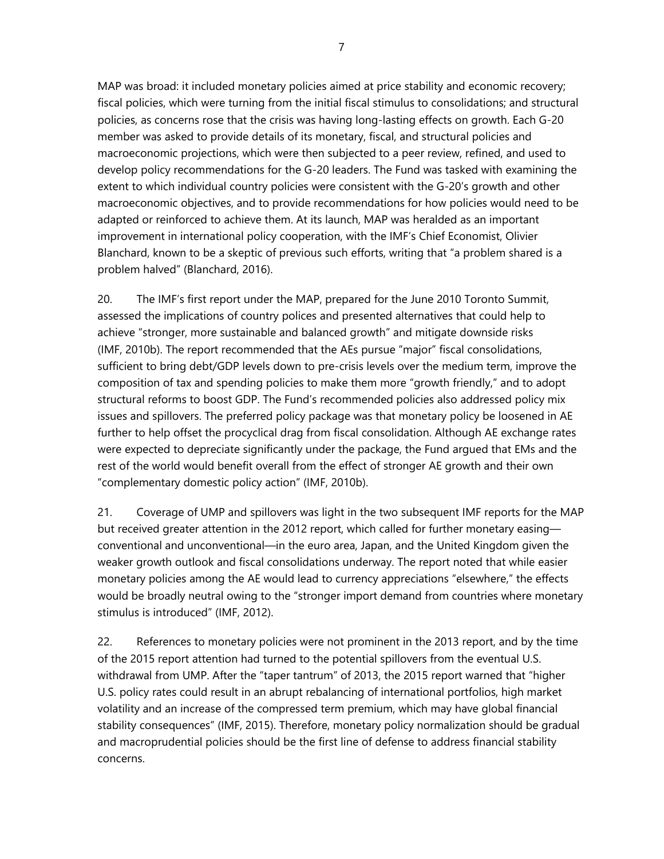MAP was broad: it included monetary policies aimed at price stability and economic recovery; fiscal policies, which were turning from the initial fiscal stimulus to consolidations; and structural policies, as concerns rose that the crisis was having long-lasting effects on growth. Each G-20 member was asked to provide details of its monetary, fiscal, and structural policies and macroeconomic projections, which were then subjected to a peer review, refined, and used to develop policy recommendations for the G-20 leaders. The Fund was tasked with examining the extent to which individual country policies were consistent with the G-20's growth and other macroeconomic objectives, and to provide recommendations for how policies would need to be adapted or reinforced to achieve them. At its launch, MAP was heralded as an important improvement in international policy cooperation, with the IMF's Chief Economist, Olivier Blanchard, known to be a skeptic of previous such efforts, writing that "a problem shared is a problem halved" (Blanchard, 2016).

20. The IMF's first report under the MAP, prepared for the June 2010 Toronto Summit, assessed the implications of country polices and presented alternatives that could help to achieve "stronger, more sustainable and balanced growth" and mitigate downside risks (IMF, 2010b). The report recommended that the AEs pursue "major" fiscal consolidations, sufficient to bring debt/GDP levels down to pre-crisis levels over the medium term, improve the composition of tax and spending policies to make them more "growth friendly," and to adopt structural reforms to boost GDP. The Fund's recommended policies also addressed policy mix issues and spillovers. The preferred policy package was that monetary policy be loosened in AE further to help offset the procyclical drag from fiscal consolidation. Although AE exchange rates were expected to depreciate significantly under the package, the Fund argued that EMs and the rest of the world would benefit overall from the effect of stronger AE growth and their own "complementary domestic policy action" (IMF, 2010b).

21. Coverage of UMP and spillovers was light in the two subsequent IMF reports for the MAP but received greater attention in the 2012 report, which called for further monetary easing conventional and unconventional—in the euro area, Japan, and the United Kingdom given the weaker growth outlook and fiscal consolidations underway. The report noted that while easier monetary policies among the AE would lead to currency appreciations "elsewhere," the effects would be broadly neutral owing to the "stronger import demand from countries where monetary stimulus is introduced" (IMF, 2012).

22. References to monetary policies were not prominent in the 2013 report, and by the time of the 2015 report attention had turned to the potential spillovers from the eventual U.S. withdrawal from UMP. After the "taper tantrum" of 2013, the 2015 report warned that "higher U.S. policy rates could result in an abrupt rebalancing of international portfolios, high market volatility and an increase of the compressed term premium, which may have global financial stability consequences" (IMF, 2015). Therefore, monetary policy normalization should be gradual and macroprudential policies should be the first line of defense to address financial stability concerns.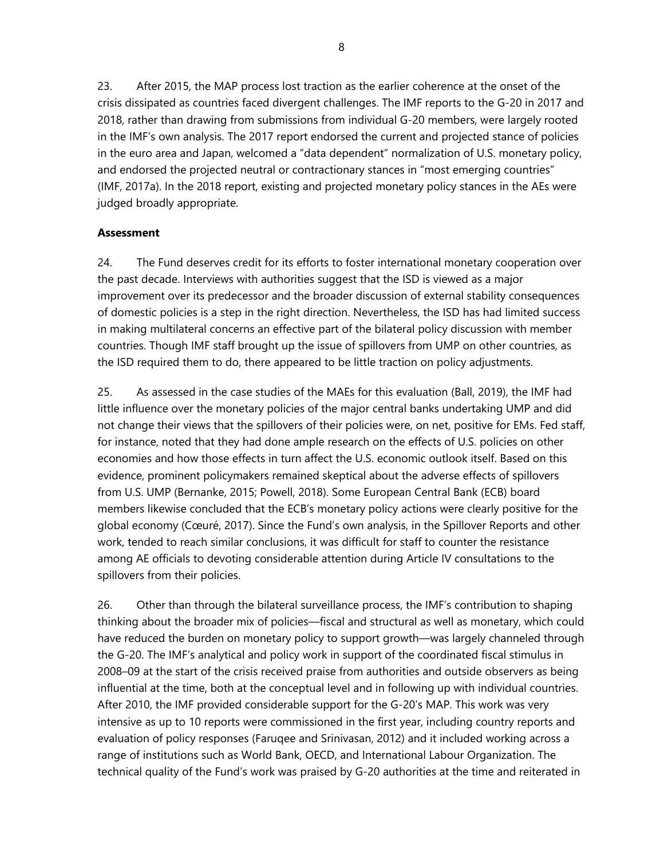23. After 2015, the MAP process lost traction as the earlier coherence at the onset of the crisis dissipated as countries faced divergent challenges. The IMF reports to the G-20 in 2017 and 2018, rather than drawing from submissions from individual G-20 members, were largely rooted in the IMF's own analysis. The 2017 report endorsed the current and projected stance of policies in the euro area and Japan, welcomed a "data dependent" normalization of U.S. monetary policy, and endorsed the projected neutral or contractionary stances in "most emerging countries" (IMF, 2017a). In the 2018 report, existing and projected monetary policy stances in the AEs were judged broadly appropriate.

### **Assessment**

24. The Fund deserves credit for its efforts to foster international monetary cooperation over the past decade. Interviews with authorities suggest that the ISD is viewed as a major improvement over its predecessor and the broader discussion of external stability consequences of domestic policies is a step in the right direction. Nevertheless, the ISD has had limited success in making multilateral concerns an effective part of the bilateral policy discussion with member countries. Though IMF staff brought up the issue of spillovers from UMP on other countries, as the ISD required them to do, there appeared to be little traction on policy adjustments.

25. As assessed in the case studies of the MAEs for this evaluation (Ball, 2019), the IMF had little influence over the monetary policies of the major central banks undertaking UMP and did not change their views that the spillovers of their policies were, on net, positive for EMs. Fed staff, for instance, noted that they had done ample research on the effects of U.S. policies on other economies and how those effects in turn affect the U.S. economic outlook itself. Based on this evidence, prominent policymakers remained skeptical about the adverse effects of spillovers from U.S. UMP (Bernanke, 2015; Powell, 2018). Some European Central Bank (ECB) board members likewise concluded that the ECB's monetary policy actions were clearly positive for the global economy (Cœuré, 2017). Since the Fund's own analysis, in the Spillover Reports and other work, tended to reach similar conclusions, it was difficult for staff to counter the resistance among AE officials to devoting considerable attention during Article IV consultations to the spillovers from their policies.

26. Other than through the bilateral surveillance process, the IMF's contribution to shaping thinking about the broader mix of policies—fiscal and structural as well as monetary, which could have reduced the burden on monetary policy to support growth—was largely channeled through the G-20. The IMF's analytical and policy work in support of the coordinated fiscal stimulus in 2008–09 at the start of the crisis received praise from authorities and outside observers as being influential at the time, both at the conceptual level and in following up with individual countries. After 2010, the IMF provided considerable support for the G-20's MAP. This work was very intensive as up to 10 reports were commissioned in the first year, including country reports and evaluation of policy responses (Faruqee and Srinivasan, 2012) and it included working across a range of institutions such as World Bank, OECD, and International Labour Organization. The technical quality of the Fund's work was praised by G-20 authorities at the time and reiterated in

8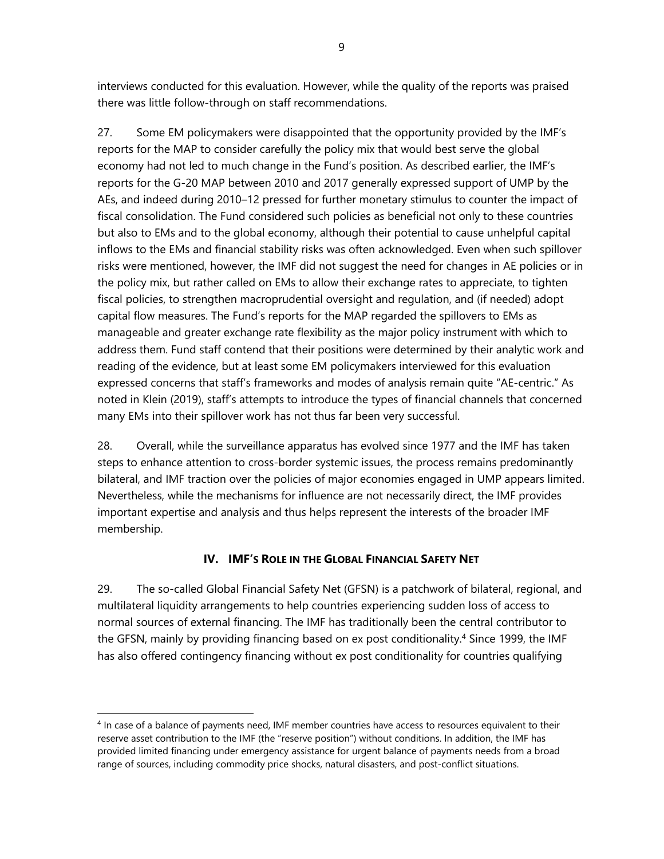interviews conducted for this evaluation. However, while the quality of the reports was praised there was little follow-through on staff recommendations.

27. Some EM policymakers were disappointed that the opportunity provided by the IMF's reports for the MAP to consider carefully the policy mix that would best serve the global economy had not led to much change in the Fund's position. As described earlier, the IMF's reports for the G-20 MAP between 2010 and 2017 generally expressed support of UMP by the AEs, and indeed during 2010–12 pressed for further monetary stimulus to counter the impact of fiscal consolidation. The Fund considered such policies as beneficial not only to these countries but also to EMs and to the global economy, although their potential to cause unhelpful capital inflows to the EMs and financial stability risks was often acknowledged. Even when such spillover risks were mentioned, however, the IMF did not suggest the need for changes in AE policies or in the policy mix, but rather called on EMs to allow their exchange rates to appreciate, to tighten fiscal policies, to strengthen macroprudential oversight and regulation, and (if needed) adopt capital flow measures. The Fund's reports for the MAP regarded the spillovers to EMs as manageable and greater exchange rate flexibility as the major policy instrument with which to address them. Fund staff contend that their positions were determined by their analytic work and reading of the evidence, but at least some EM policymakers interviewed for this evaluation expressed concerns that staff's frameworks and modes of analysis remain quite "AE-centric." As noted in Klein (2019), staff's attempts to introduce the types of financial channels that concerned many EMs into their spillover work has not thus far been very successful.

28. Overall, while the surveillance apparatus has evolved since 1977 and the IMF has taken steps to enhance attention to cross-border systemic issues, the process remains predominantly bilateral, and IMF traction over the policies of major economies engaged in UMP appears limited. Nevertheless, while the mechanisms for influence are not necessarily direct, the IMF provides important expertise and analysis and thus helps represent the interests of the broader IMF membership.

## **IV. IMF'S ROLE IN THE GLOBAL FINANCIAL SAFETY NET**

29. The so-called Global Financial Safety Net (GFSN) is a patchwork of bilateral, regional, and multilateral liquidity arrangements to help countries experiencing sudden loss of access to normal sources of external financing. The IMF has traditionally been the central contributor to the GFSN, mainly by providing financing based on ex post conditionality.4 Since 1999, the IMF has also offered contingency financing without ex post conditionality for countries qualifying

<sup>&</sup>lt;sup>4</sup> In case of a balance of payments need, IMF member countries have access to resources equivalent to their reserve asset contribution to the IMF (the "reserve position") without conditions. In addition, the IMF has provided limited financing under emergency assistance for urgent balance of payments needs from a broad range of sources, including commodity price shocks, natural disasters, and post-conflict situations.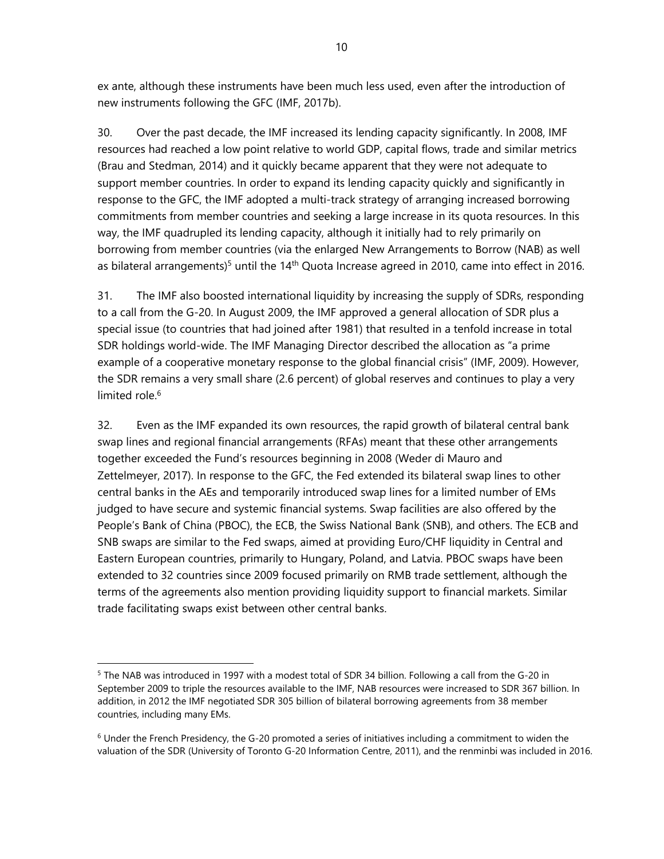ex ante, although these instruments have been much less used, even after the introduction of new instruments following the GFC (IMF, 2017b).

30. Over the past decade, the IMF increased its lending capacity significantly. In 2008, IMF resources had reached a low point relative to world GDP, capital flows, trade and similar metrics (Brau and Stedman, 2014) and it quickly became apparent that they were not adequate to support member countries. In order to expand its lending capacity quickly and significantly in response to the GFC, the IMF adopted a multi-track strategy of arranging increased borrowing commitments from member countries and seeking a large increase in its quota resources. In this way, the IMF quadrupled its lending capacity, although it initially had to rely primarily on borrowing from member countries (via the enlarged New Arrangements to Borrow (NAB) as well as bilateral arrangements)<sup>5</sup> until the 14<sup>th</sup> Quota Increase agreed in 2010, came into effect in 2016.

31. The IMF also boosted international liquidity by increasing the supply of SDRs, responding to a call from the G-20. In August 2009, the IMF approved a general allocation of SDR plus a special issue (to countries that had joined after 1981) that resulted in a tenfold increase in total SDR holdings world-wide. The IMF Managing Director described the allocation as "a prime example of a cooperative monetary response to the global financial crisis" (IMF, 2009). However, the SDR remains a very small share (2.6 percent) of global reserves and continues to play a very limited role. $6$ 

32. Even as the IMF expanded its own resources, the rapid growth of bilateral central bank swap lines and regional financial arrangements (RFAs) meant that these other arrangements together exceeded the Fund's resources beginning in 2008 (Weder di Mauro and Zettelmeyer, 2017). In response to the GFC, the Fed extended its bilateral swap lines to other central banks in the AEs and temporarily introduced swap lines for a limited number of EMs judged to have secure and systemic financial systems. Swap facilities are also offered by the People's Bank of China (PBOC), the ECB, the Swiss National Bank (SNB), and others. The ECB and SNB swaps are similar to the Fed swaps, aimed at providing Euro/CHF liquidity in Central and Eastern European countries, primarily to Hungary, Poland, and Latvia. PBOC swaps have been extended to 32 countries since 2009 focused primarily on RMB trade settlement, although the terms of the agreements also mention providing liquidity support to financial markets. Similar trade facilitating swaps exist between other central banks.

<sup>5</sup> The NAB was introduced in 1997 with a modest total of SDR 34 billion. Following a call from the G-20 in September 2009 to triple the resources available to the IMF, NAB resources were increased to SDR 367 billion. In addition, in 2012 the IMF negotiated SDR 305 billion of bilateral borrowing agreements from 38 member countries, including many EMs.

 $6$  Under the French Presidency, the G-20 promoted a series of initiatives including a commitment to widen the valuation of the SDR (University of Toronto G-20 Information Centre, 2011), and the renminbi was included in 2016.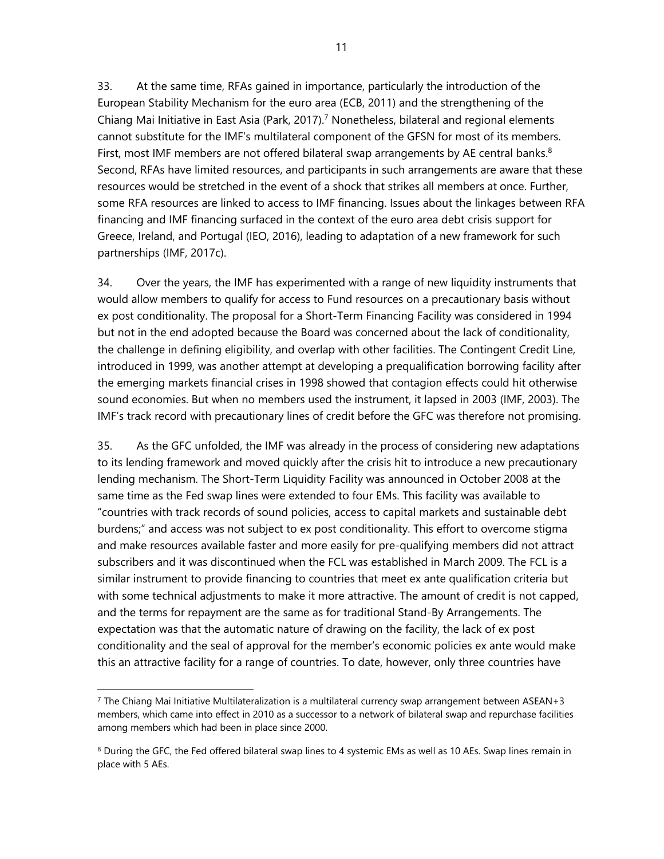33. At the same time, RFAs gained in importance, particularly the introduction of the European Stability Mechanism for the euro area (ECB, 2011) and the strengthening of the Chiang Mai Initiative in East Asia (Park, 2017).<sup>7</sup> Nonetheless, bilateral and regional elements cannot substitute for the IMF's multilateral component of the GFSN for most of its members. First, most IMF members are not offered bilateral swap arrangements by AE central banks. $8$ Second, RFAs have limited resources, and participants in such arrangements are aware that these resources would be stretched in the event of a shock that strikes all members at once. Further, some RFA resources are linked to access to IMF financing. Issues about the linkages between RFA financing and IMF financing surfaced in the context of the euro area debt crisis support for Greece, Ireland, and Portugal (IEO, 2016), leading to adaptation of a new framework for such partnerships (IMF, 2017c).

34. Over the years, the IMF has experimented with a range of new liquidity instruments that would allow members to qualify for access to Fund resources on a precautionary basis without ex post conditionality. The proposal for a Short-Term Financing Facility was considered in 1994 but not in the end adopted because the Board was concerned about the lack of conditionality, the challenge in defining eligibility, and overlap with other facilities. The Contingent Credit Line, introduced in 1999, was another attempt at developing a prequalification borrowing facility after the emerging markets financial crises in 1998 showed that contagion effects could hit otherwise sound economies. But when no members used the instrument, it lapsed in 2003 (IMF, 2003). The IMF's track record with precautionary lines of credit before the GFC was therefore not promising.

35. As the GFC unfolded, the IMF was already in the process of considering new adaptations to its lending framework and moved quickly after the crisis hit to introduce a new precautionary lending mechanism. The Short-Term Liquidity Facility was announced in October 2008 at the same time as the Fed swap lines were extended to four EMs. This facility was available to "countries with track records of sound policies, access to capital markets and sustainable debt burdens;" and access was not subject to ex post conditionality. This effort to overcome stigma and make resources available faster and more easily for pre-qualifying members did not attract subscribers and it was discontinued when the FCL was established in March 2009. The FCL is a similar instrument to provide financing to countries that meet ex ante qualification criteria but with some technical adjustments to make it more attractive. The amount of credit is not capped, and the terms for repayment are the same as for traditional Stand-By Arrangements. The expectation was that the automatic nature of drawing on the facility, the lack of ex post conditionality and the seal of approval for the member's economic policies ex ante would make this an attractive facility for a range of countries. To date, however, only three countries have

<sup>7</sup> The Chiang Mai Initiative Multilateralization is a multilateral currency swap arrangement between ASEAN+3 members, which came into effect in 2010 as a successor to a network of bilateral swap and repurchase facilities among members which had been in place since 2000.

<sup>&</sup>lt;sup>8</sup> During the GFC, the Fed offered bilateral swap lines to 4 systemic EMs as well as 10 AEs. Swap lines remain in place with 5 AEs.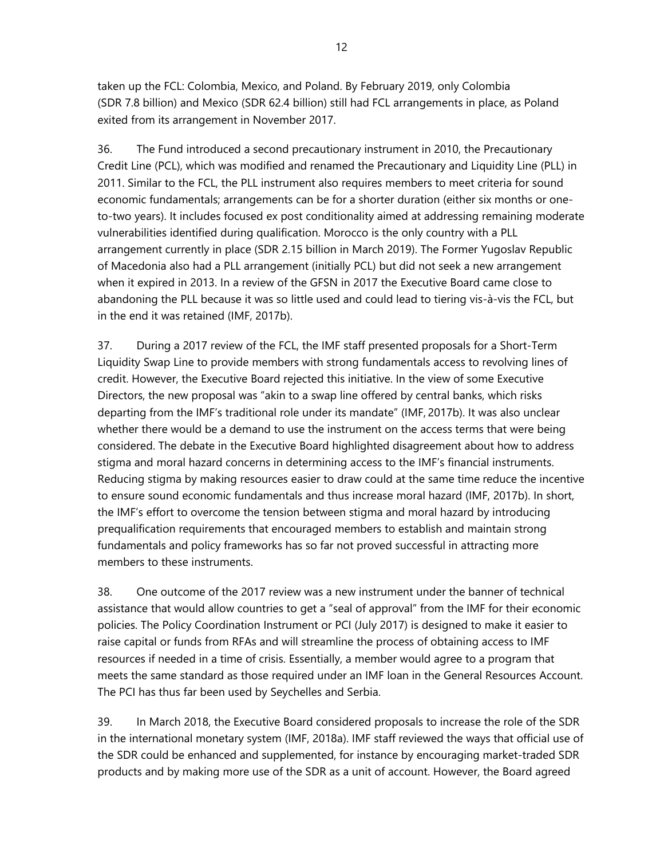taken up the FCL: Colombia, Mexico, and Poland. By February 2019, only Colombia (SDR 7.8 billion) and Mexico (SDR 62.4 billion) still had FCL arrangements in place, as Poland exited from its arrangement in November 2017.

36. The Fund introduced a second precautionary instrument in 2010, the Precautionary Credit Line (PCL), which was modified and renamed the Precautionary and Liquidity Line (PLL) in 2011. Similar to the FCL, the PLL instrument also requires members to meet criteria for sound economic fundamentals; arrangements can be for a shorter duration (either six months or oneto-two years). It includes focused ex post conditionality aimed at addressing remaining moderate vulnerabilities identified during qualification. Morocco is the only country with a PLL arrangement currently in place (SDR 2.15 billion in March 2019). The Former Yugoslav Republic of Macedonia also had a PLL arrangement (initially PCL) but did not seek a new arrangement when it expired in 2013. In a review of the GFSN in 2017 the Executive Board came close to abandoning the PLL because it was so little used and could lead to tiering vis-à-vis the FCL, but in the end it was retained (IMF, 2017b).

37. During a 2017 review of the FCL, the IMF staff presented proposals for a Short-Term Liquidity Swap Line to provide members with strong fundamentals access to revolving lines of credit. However, the Executive Board rejected this initiative. In the view of some Executive Directors, the new proposal was "akin to a swap line offered by central banks, which risks departing from the IMF's traditional role under its mandate" (IMF, 2017b). It was also unclear whether there would be a demand to use the instrument on the access terms that were being considered. The debate in the Executive Board highlighted disagreement about how to address stigma and moral hazard concerns in determining access to the IMF's financial instruments. Reducing stigma by making resources easier to draw could at the same time reduce the incentive to ensure sound economic fundamentals and thus increase moral hazard (IMF, 2017b). In short, the IMF's effort to overcome the tension between stigma and moral hazard by introducing prequalification requirements that encouraged members to establish and maintain strong fundamentals and policy frameworks has so far not proved successful in attracting more members to these instruments.

38. One outcome of the 2017 review was a new instrument under the banner of technical assistance that would allow countries to get a "seal of approval" from the IMF for their economic policies. The Policy Coordination Instrument or PCI (July 2017) is designed to make it easier to raise capital or funds from RFAs and will streamline the process of obtaining access to IMF resources if needed in a time of crisis. Essentially, a member would agree to a program that meets the same standard as those required under an IMF loan in the General Resources Account. The PCI has thus far been used by Seychelles and Serbia.

39. In March 2018, the Executive Board considered proposals to increase the role of the SDR in the international monetary system (IMF, 2018a). IMF staff reviewed the ways that official use of the SDR could be enhanced and supplemented, for instance by encouraging market-traded SDR products and by making more use of the SDR as a unit of account. However, the Board agreed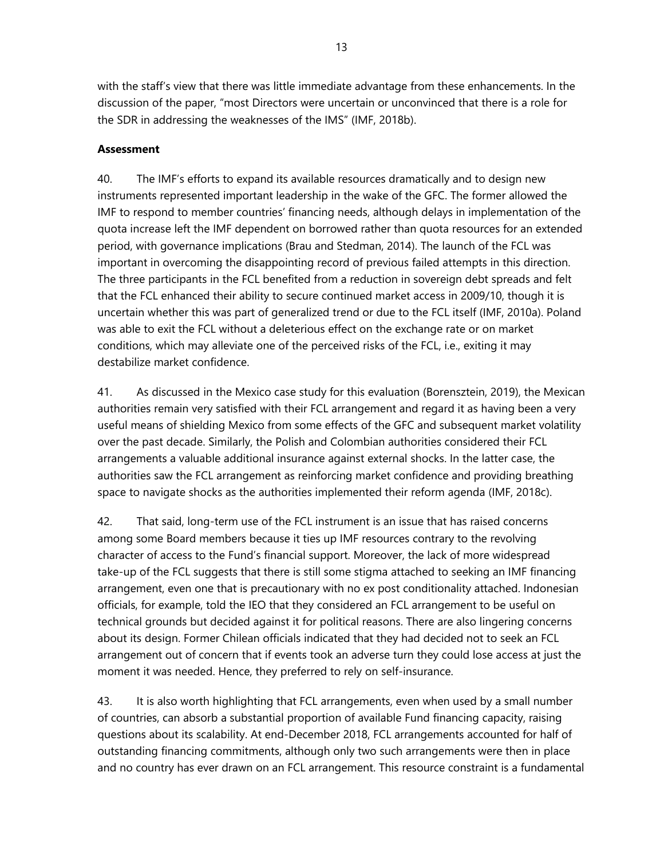with the staff's view that there was little immediate advantage from these enhancements. In the discussion of the paper, "most Directors were uncertain or unconvinced that there is a role for the SDR in addressing the weaknesses of the IMS" (IMF, 2018b).

### **Assessment**

40. The IMF's efforts to expand its available resources dramatically and to design new instruments represented important leadership in the wake of the GFC. The former allowed the IMF to respond to member countries' financing needs, although delays in implementation of the quota increase left the IMF dependent on borrowed rather than quota resources for an extended period, with governance implications (Brau and Stedman, 2014). The launch of the FCL was important in overcoming the disappointing record of previous failed attempts in this direction. The three participants in the FCL benefited from a reduction in sovereign debt spreads and felt that the FCL enhanced their ability to secure continued market access in 2009/10, though it is uncertain whether this was part of generalized trend or due to the FCL itself (IMF, 2010a). Poland was able to exit the FCL without a deleterious effect on the exchange rate or on market conditions, which may alleviate one of the perceived risks of the FCL, i.e., exiting it may destabilize market confidence.

41. As discussed in the Mexico case study for this evaluation (Borensztein, 2019), the Mexican authorities remain very satisfied with their FCL arrangement and regard it as having been a very useful means of shielding Mexico from some effects of the GFC and subsequent market volatility over the past decade. Similarly, the Polish and Colombian authorities considered their FCL arrangements a valuable additional insurance against external shocks. In the latter case, the authorities saw the FCL arrangement as reinforcing market confidence and providing breathing space to navigate shocks as the authorities implemented their reform agenda (IMF, 2018c).

42. That said, long-term use of the FCL instrument is an issue that has raised concerns among some Board members because it ties up IMF resources contrary to the revolving character of access to the Fund's financial support. Moreover, the lack of more widespread take-up of the FCL suggests that there is still some stigma attached to seeking an IMF financing arrangement, even one that is precautionary with no ex post conditionality attached. Indonesian officials, for example, told the IEO that they considered an FCL arrangement to be useful on technical grounds but decided against it for political reasons. There are also lingering concerns about its design. Former Chilean officials indicated that they had decided not to seek an FCL arrangement out of concern that if events took an adverse turn they could lose access at just the moment it was needed. Hence, they preferred to rely on self-insurance.

43. It is also worth highlighting that FCL arrangements, even when used by a small number of countries, can absorb a substantial proportion of available Fund financing capacity, raising questions about its scalability. At end-December 2018, FCL arrangements accounted for half of outstanding financing commitments, although only two such arrangements were then in place and no country has ever drawn on an FCL arrangement. This resource constraint is a fundamental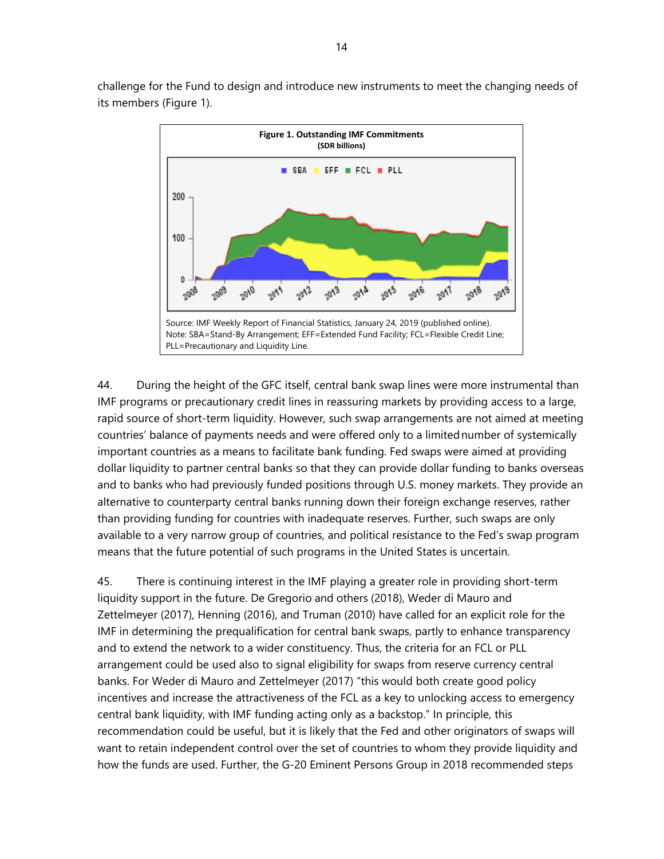

challenge for the Fund to design and introduce new instruments to meet the changing needs of its members (Figure 1).

44. During the height of the GFC itself, central bank swap lines were more instrumental than IMF programs or precautionary credit lines in reassuring markets by providing access to a large, rapid source of short-term liquidity. However, such swap arrangements are not aimed at meeting countries' balance of payments needs and were offered only to a limited number of systemically important countries as a means to facilitate bank funding. Fed swaps were aimed at providing dollar liquidity to partner central banks so that they can provide dollar funding to banks overseas and to banks who had previously funded positions through U.S. money markets. They provide an alternative to counterparty central banks running down their foreign exchange reserves, rather than providing funding for countries with inadequate reserves. Further, such swaps are only available to a very narrow group of countries, and political resistance to the Fed's swap program means that the future potential of such programs in the United States is uncertain.

45. There is continuing interest in the IMF playing a greater role in providing short-term liquidity support in the future. De Gregorio and others (2018), Weder di Mauro and Zettelmeyer (2017), Henning (2016), and Truman (2010) have called for an explicit role for the IMF in determining the prequalification for central bank swaps, partly to enhance transparency and to extend the network to a wider constituency. Thus, the criteria for an FCL or PLL arrangement could be used also to signal eligibility for swaps from reserve currency central banks. For Weder di Mauro and Zettelmeyer (2017) "this would both create good policy incentives and increase the attractiveness of the FCL as a key to unlocking access to emergency central bank liquidity, with IMF funding acting only as a backstop." In principle, this recommendation could be useful, but it is likely that the Fed and other originators of swaps will want to retain independent control over the set of countries to whom they provide liquidity and how the funds are used. Further, the G-20 Eminent Persons Group in 2018 recommended steps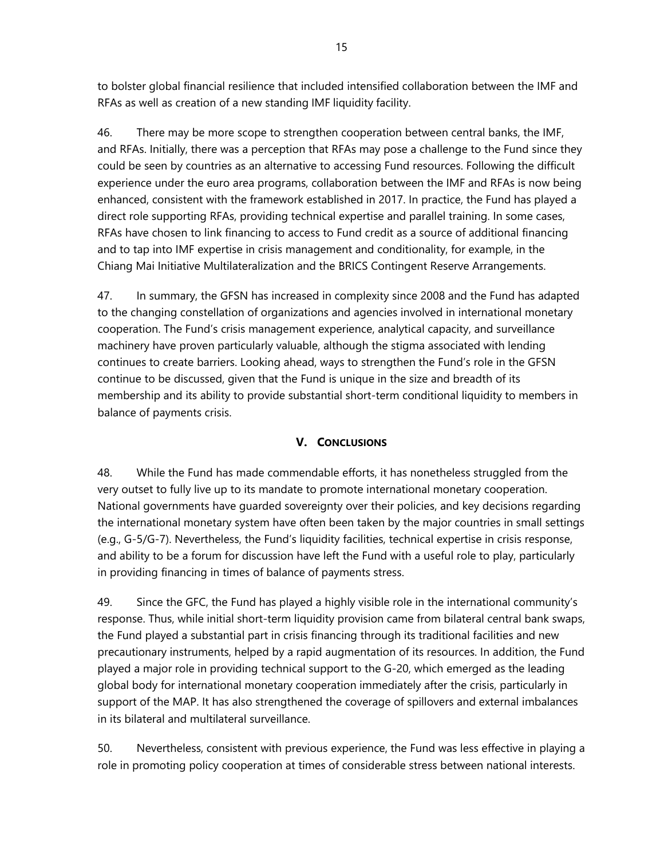to bolster global financial resilience that included intensified collaboration between the IMF and RFAs as well as creation of a new standing IMF liquidity facility.

46. There may be more scope to strengthen cooperation between central banks, the IMF, and RFAs. Initially, there was a perception that RFAs may pose a challenge to the Fund since they could be seen by countries as an alternative to accessing Fund resources. Following the difficult experience under the euro area programs, collaboration between the IMF and RFAs is now being enhanced, consistent with the framework established in 2017. In practice, the Fund has played a direct role supporting RFAs, providing technical expertise and parallel training. In some cases, RFAs have chosen to link financing to access to Fund credit as a source of additional financing and to tap into IMF expertise in crisis management and conditionality, for example, in the Chiang Mai Initiative Multilateralization and the BRICS Contingent Reserve Arrangements.

47. In summary, the GFSN has increased in complexity since 2008 and the Fund has adapted to the changing constellation of organizations and agencies involved in international monetary cooperation. The Fund's crisis management experience, analytical capacity, and surveillance machinery have proven particularly valuable, although the stigma associated with lending continues to create barriers. Looking ahead, ways to strengthen the Fund's role in the GFSN continue to be discussed, given that the Fund is unique in the size and breadth of its membership and its ability to provide substantial short-term conditional liquidity to members in balance of payments crisis.

## **V. CONCLUSIONS**

48. While the Fund has made commendable efforts, it has nonetheless struggled from the very outset to fully live up to its mandate to promote international monetary cooperation. National governments have guarded sovereignty over their policies, and key decisions regarding the international monetary system have often been taken by the major countries in small settings (e.g., G-5/G-7). Nevertheless, the Fund's liquidity facilities, technical expertise in crisis response, and ability to be a forum for discussion have left the Fund with a useful role to play, particularly in providing financing in times of balance of payments stress.

49. Since the GFC, the Fund has played a highly visible role in the international community's response. Thus, while initial short-term liquidity provision came from bilateral central bank swaps, the Fund played a substantial part in crisis financing through its traditional facilities and new precautionary instruments, helped by a rapid augmentation of its resources. In addition, the Fund played a major role in providing technical support to the G-20, which emerged as the leading global body for international monetary cooperation immediately after the crisis, particularly in support of the MAP. It has also strengthened the coverage of spillovers and external imbalances in its bilateral and multilateral surveillance.

50. Nevertheless, consistent with previous experience, the Fund was less effective in playing a role in promoting policy cooperation at times of considerable stress between national interests.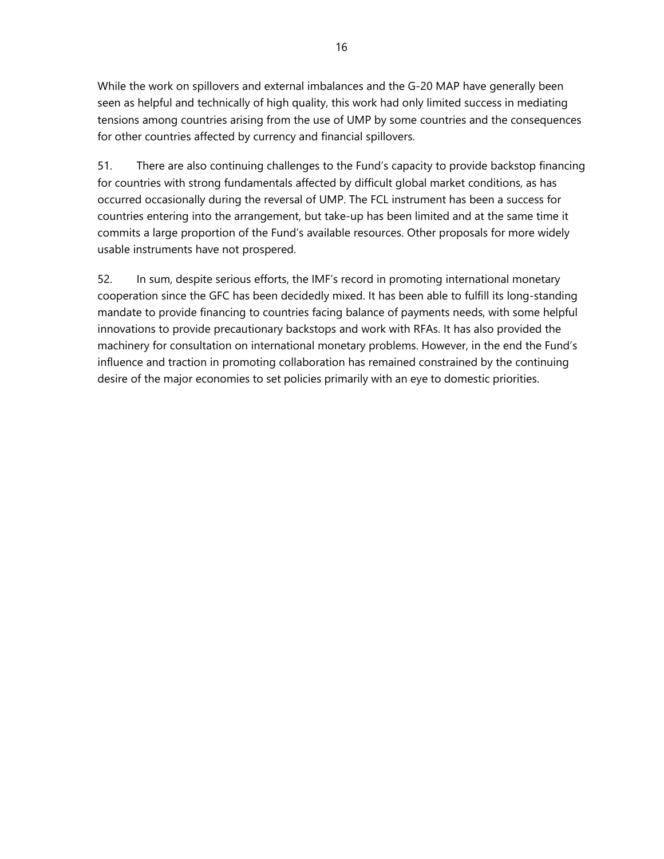While the work on spillovers and external imbalances and the G-20 MAP have generally been seen as helpful and technically of high quality, this work had only limited success in mediating tensions among countries arising from the use of UMP by some countries and the consequences for other countries affected by currency and financial spillovers.

51. There are also continuing challenges to the Fund's capacity to provide backstop financing for countries with strong fundamentals affected by difficult global market conditions, as has occurred occasionally during the reversal of UMP. The FCL instrument has been a success for countries entering into the arrangement, but take-up has been limited and at the same time it commits a large proportion of the Fund's available resources. Other proposals for more widely usable instruments have not prospered.

52. In sum, despite serious efforts, the IMF's record in promoting international monetary cooperation since the GFC has been decidedly mixed. It has been able to fulfill its long-standing mandate to provide financing to countries facing balance of payments needs, with some helpful innovations to provide precautionary backstops and work with RFAs. It has also provided the machinery for consultation on international monetary problems. However, in the end the Fund's influence and traction in promoting collaboration has remained constrained by the continuing desire of the major economies to set policies primarily with an eye to domestic priorities.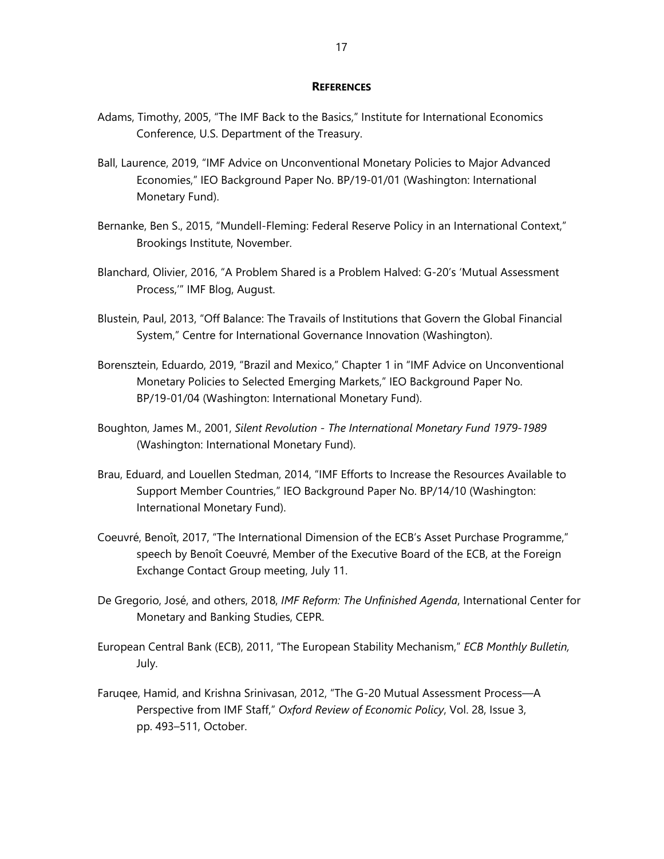#### **REFERENCES**

- Adams, Timothy, 2005, "The IMF Back to the Basics," Institute for International Economics Conference, U.S. Department of the Treasury.
- Ball, Laurence, 2019, "IMF Advice on Unconventional Monetary Policies to Major Advanced Economies," IEO Background Paper No. BP/19-01/01 (Washington: International Monetary Fund).
- Bernanke, Ben S., 2015, "Mundell-Fleming: Federal Reserve Policy in an International Context," Brookings Institute, November.
- Blanchard, Olivier, 2016, "A Problem Shared is a Problem Halved: G-20's 'Mutual Assessment Process,'" IMF Blog, August.
- Blustein, Paul, 2013, "Off Balance: The Travails of Institutions that Govern the Global Financial System," Centre for International Governance Innovation (Washington).
- Borensztein, Eduardo, 2019, "Brazil and Mexico," Chapter 1 in "IMF Advice on Unconventional Monetary Policies to Selected Emerging Markets," IEO Background Paper No. BP/19-01/04 (Washington: International Monetary Fund).
- Boughton, James M., 2001, *Silent Revolution The International Monetary Fund 1979-1989* (Washington: International Monetary Fund).
- Brau, Eduard, and Louellen Stedman, 2014, "IMF Efforts to Increase the Resources Available to Support Member Countries," IEO Background Paper No. BP/14/10 (Washington: International Monetary Fund).
- Coeuvré, Benoît, 2017, "The International Dimension of the ECB's Asset Purchase Programme," speech by Benoît Coeuvré, Member of the Executive Board of the ECB, at the Foreign Exchange Contact Group meeting, July 11.
- De Gregorio, José, and others, 2018, *IMF Reform: The Unfinished Agenda*, International Center for Monetary and Banking Studies, CEPR.
- European Central Bank (ECB), 2011, "The European Stability Mechanism," *ECB Monthly Bulletin,* July.
- Faruqee, Hamid, and Krishna Srinivasan, 2012, "The G-20 Mutual Assessment Process—A Perspective from IMF Staff," *Oxford Review of Economic Policy*, Vol. 28, Issue 3, pp. 493–511, October.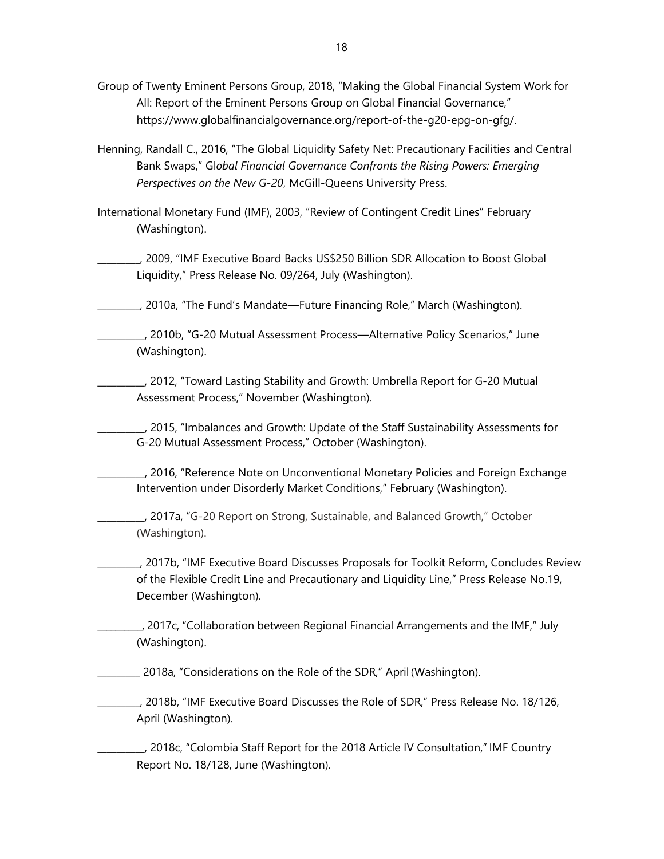- Group of Twenty Eminent Persons Group, 2018, "Making the Global Financial System Work for All: Report of the Eminent Persons Group on Global Financial Governance," https://www.globalfinancialgovernance.org/report-of-the-g20-epg-on-gfg/.
- Henning, Randall C., 2016, "The Global Liquidity Safety Net: Precautionary Facilities and Central Bank Swaps," Gl*obal Financial Governance Confronts the Rising Powers: Emerging Perspectives on the New G-20*, McGill-Queens University Press.
- International Monetary Fund (IMF), 2003, "Review of Contingent Credit Lines" February (Washington).
- \_\_\_\_\_\_\_\_\_, 2009, "IMF Executive Board Backs US\$250 Billion SDR Allocation to Boost Global Liquidity," Press Release No. 09/264, July (Washington).
- \_\_\_\_\_\_\_\_\_, 2010a, "The Fund's Mandate—Future Financing Role," March (Washington).
- \_\_\_\_\_\_\_\_\_\_, 2010b, "G-20 Mutual Assessment Process—Alternative Policy Scenarios," June (Washington).
- \_\_\_\_\_\_\_\_\_\_, 2012, "Toward Lasting Stability and Growth: Umbrella Report for G-20 Mutual Assessment Process," November (Washington).
	- \_\_\_\_\_\_\_\_\_\_, 2015, "Imbalances and Growth: Update of the Staff Sustainability Assessments for G-20 Mutual Assessment Process," October (Washington).
- \_\_\_\_\_\_\_\_\_\_, 2016, "Reference Note on Unconventional Monetary Policies and Foreign Exchange Intervention under Disorderly Market Conditions," February (Washington).
	- \_\_\_\_\_\_\_\_\_\_, 2017a, "G-20 Report on Strong, Sustainable, and Balanced Growth," October (Washington).
- \_\_\_\_\_\_\_\_\_, 2017b, "IMF Executive Board Discusses Proposals for Toolkit Reform, Concludes Review of the Flexible Credit Line and Precautionary and Liquidity Line," Press Release No.19, December (Washington).
- \_\_\_\_\_\_\_\_\_\_, 2017c, "Collaboration between Regional Financial Arrangements and the IMF," July (Washington).
- \_\_\_\_\_\_\_\_\_ 2018a, "Considerations on the Role of the SDR," April (Washington).
- \_\_\_\_\_\_\_\_\_, 2018b, "IMF Executive Board Discusses the Role of SDR," Press Release No. 18/126, April (Washington).

\_\_\_\_\_\_\_\_\_\_, 2018c, "Colombia Staff Report for the 2018 Article IV Consultation," IMF Country Report No. 18/128, June (Washington).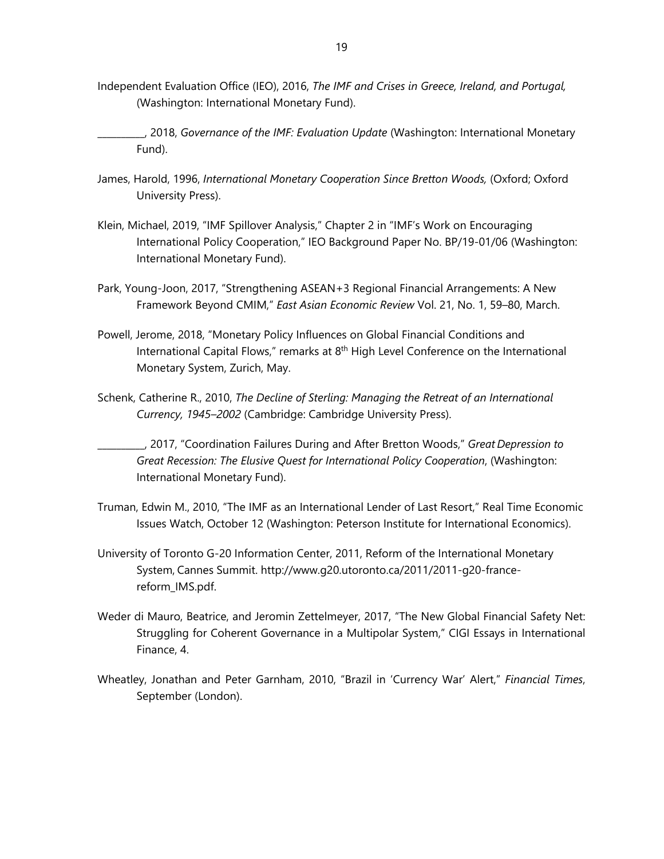- Independent Evaluation Office (IEO), 2016, *The IMF and Crises in Greece, Ireland, and Portugal,* (Washington: International Monetary Fund).
- \_\_\_\_\_\_\_\_\_\_, 2018, *Governance of the IMF: Evaluation Update* (Washington: International Monetary Fund).
- James, Harold, 1996, *International Monetary Cooperation Since Bretton Woods,* (Oxford; Oxford University Press).
- Klein, Michael, 2019, "IMF Spillover Analysis," Chapter 2 in "IMF's Work on Encouraging International Policy Cooperation," IEO Background Paper No. BP/19-01/06 (Washington: International Monetary Fund).
- Park, Young-Joon, 2017, "Strengthening ASEAN+3 Regional Financial Arrangements: A New Framework Beyond CMIM," *East Asian Economic Review* Vol. 21, No. 1, 59–80, March.
- Powell, Jerome, 2018, "Monetary Policy Influences on Global Financial Conditions and International Capital Flows," remarks at 8<sup>th</sup> High Level Conference on the International Monetary System, Zurich, May.
- Schenk, Catherine R., 2010, *The Decline of Sterling: Managing the Retreat of an International Currency, 1945–2002* (Cambridge: Cambridge University Press).

\_\_\_\_\_\_\_\_\_\_, 2017, "Coordination Failures During and After Bretton Woods," *Great Depression to Great Recession: The Elusive Quest for International Policy Cooperation*, (Washington: International Monetary Fund).

- Truman, Edwin M., 2010, "The IMF as an International Lender of Last Resort," Real Time Economic Issues Watch, October 12 (Washington: Peterson Institute for International Economics).
- University of Toronto G-20 Information Center, 2011, Reform of the International Monetary System, Cannes Summit. http://www.g20.utoronto.ca/2011/2011-g20-francereform\_IMS.pdf.
- Weder di Mauro, Beatrice, and Jeromin Zettelmeyer, 2017, "The New Global Financial Safety Net: Struggling for Coherent Governance in a Multipolar System," CIGI Essays in International Finance, 4.
- Wheatley, Jonathan and Peter Garnham, 2010, "Brazil in 'Currency War' Alert," *Financial Times*, September (London).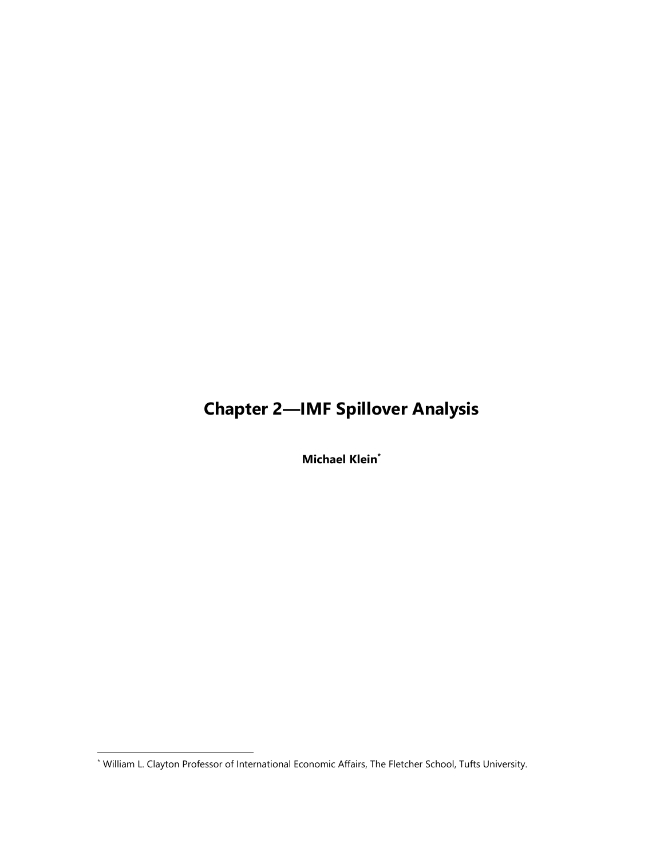## **Chapter 2—IMF Spillover Analysis**

**Michael Klein\***

l

<sup>\*</sup> William L. Clayton Professor of International Economic Affairs, The Fletcher School, Tufts University.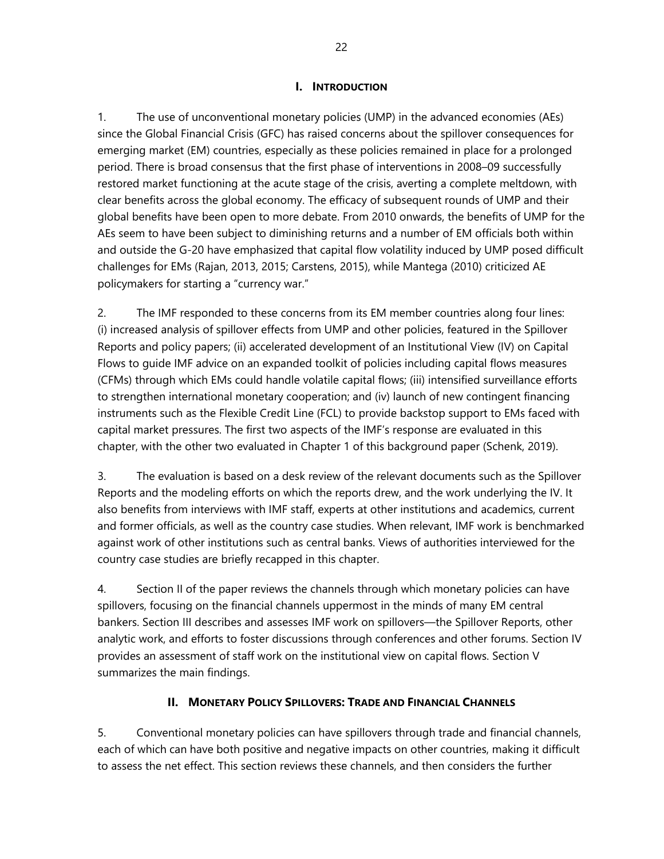### **I. INTRODUCTION**

1. The use of unconventional monetary policies (UMP) in the advanced economies (AEs) since the Global Financial Crisis (GFC) has raised concerns about the spillover consequences for emerging market (EM) countries, especially as these policies remained in place for a prolonged period. There is broad consensus that the first phase of interventions in 2008–09 successfully restored market functioning at the acute stage of the crisis, averting a complete meltdown, with clear benefits across the global economy. The efficacy of subsequent rounds of UMP and their global benefits have been open to more debate. From 2010 onwards, the benefits of UMP for the AEs seem to have been subject to diminishing returns and a number of EM officials both within and outside the G-20 have emphasized that capital flow volatility induced by UMP posed difficult challenges for EMs (Rajan, 2013, 2015; Carstens, 2015), while Mantega (2010) criticized AE policymakers for starting a "currency war."

2. The IMF responded to these concerns from its EM member countries along four lines: (i) increased analysis of spillover effects from UMP and other policies, featured in the Spillover Reports and policy papers; (ii) accelerated development of an Institutional View (IV) on Capital Flows to guide IMF advice on an expanded toolkit of policies including capital flows measures (CFMs) through which EMs could handle volatile capital flows; (iii) intensified surveillance efforts to strengthen international monetary cooperation; and (iv) launch of new contingent financing instruments such as the Flexible Credit Line (FCL) to provide backstop support to EMs faced with capital market pressures. The first two aspects of the IMF's response are evaluated in this chapter, with the other two evaluated in Chapter 1 of this background paper (Schenk, 2019).

3. The evaluation is based on a desk review of the relevant documents such as the Spillover Reports and the modeling efforts on which the reports drew, and the work underlying the IV. It also benefits from interviews with IMF staff, experts at other institutions and academics, current and former officials, as well as the country case studies. When relevant, IMF work is benchmarked against work of other institutions such as central banks. Views of authorities interviewed for the country case studies are briefly recapped in this chapter.

4. Section II of the paper reviews the channels through which monetary policies can have spillovers, focusing on the financial channels uppermost in the minds of many EM central bankers. Section III describes and assesses IMF work on spillovers—the Spillover Reports, other analytic work, and efforts to foster discussions through conferences and other forums. Section IV provides an assessment of staff work on the institutional view on capital flows. Section V summarizes the main findings.

### **II. MONETARY POLICY SPILLOVERS: TRADE AND FINANCIAL CHANNELS**

5. Conventional monetary policies can have spillovers through trade and financial channels, each of which can have both positive and negative impacts on other countries, making it difficult to assess the net effect. This section reviews these channels, and then considers the further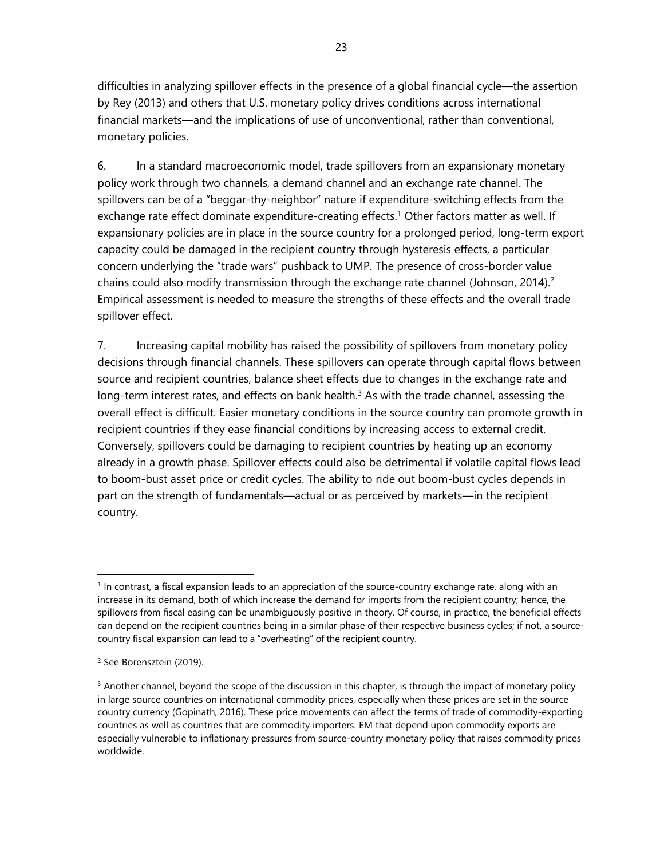difficulties in analyzing spillover effects in the presence of a global financial cycle—the assertion by Rey (2013) and others that U.S. monetary policy drives conditions across international financial markets—and the implications of use of unconventional, rather than conventional, monetary policies.

6. In a standard macroeconomic model, trade spillovers from an expansionary monetary policy work through two channels, a demand channel and an exchange rate channel. The spillovers can be of a "beggar-thy-neighbor" nature if expenditure-switching effects from the exchange rate effect dominate expenditure-creating effects.<sup>1</sup> Other factors matter as well. If expansionary policies are in place in the source country for a prolonged period, long-term export capacity could be damaged in the recipient country through hysteresis effects, a particular concern underlying the "trade wars" pushback to UMP. The presence of cross-border value chains could also modify transmission through the exchange rate channel (Johnson, 2014).<sup>2</sup> Empirical assessment is needed to measure the strengths of these effects and the overall trade spillover effect.

7. Increasing capital mobility has raised the possibility of spillovers from monetary policy decisions through financial channels. These spillovers can operate through capital flows between source and recipient countries, balance sheet effects due to changes in the exchange rate and long-term interest rates, and effects on bank health. $3$  As with the trade channel, assessing the overall effect is difficult. Easier monetary conditions in the source country can promote growth in recipient countries if they ease financial conditions by increasing access to external credit. Conversely, spillovers could be damaging to recipient countries by heating up an economy already in a growth phase. Spillover effects could also be detrimental if volatile capital flows lead to boom-bust asset price or credit cycles. The ability to ride out boom-bust cycles depends in part on the strength of fundamentals—actual or as perceived by markets—in the recipient country.

 $<sup>1</sup>$  In contrast, a fiscal expansion leads to an appreciation of the source-country exchange rate, along with an</sup> increase in its demand, both of which increase the demand for imports from the recipient country; hence, the spillovers from fiscal easing can be unambiguously positive in theory. Of course, in practice, the beneficial effects can depend on the recipient countries being in a similar phase of their respective business cycles; if not, a sourcecountry fiscal expansion can lead to a "overheating" of the recipient country.

<sup>2</sup> See Borensztein (2019).

 $3$  Another channel, beyond the scope of the discussion in this chapter, is through the impact of monetary policy in large source countries on international commodity prices, especially when these prices are set in the source country currency (Gopinath, 2016). These price movements can affect the terms of trade of commodity-exporting countries as well as countries that are commodity importers. EM that depend upon commodity exports are especially vulnerable to inflationary pressures from source-country monetary policy that raises commodity prices worldwide.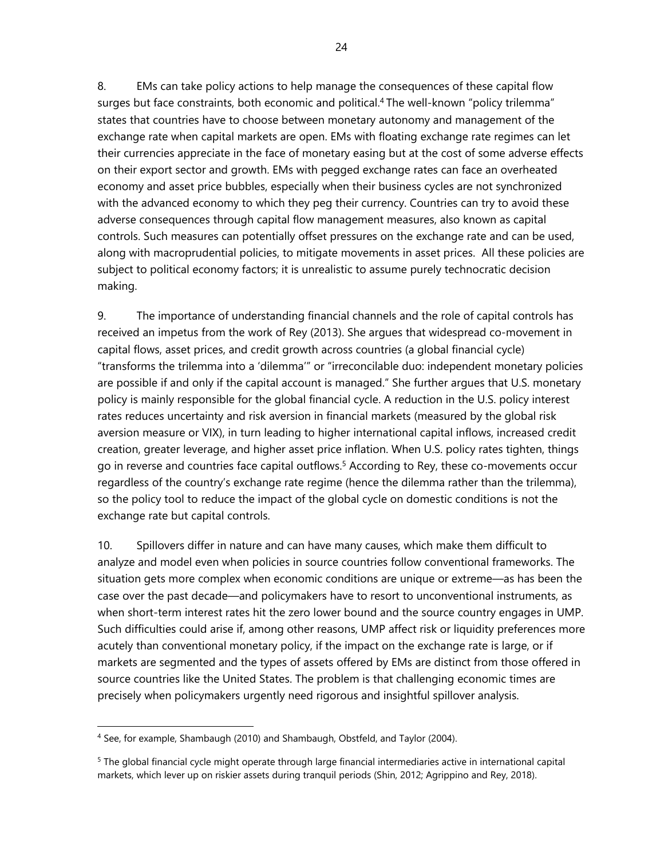8. EMs can take policy actions to help manage the consequences of these capital flow surges but face constraints, both economic and political.<sup>4</sup> The well-known "policy trilemma" states that countries have to choose between monetary autonomy and management of the exchange rate when capital markets are open. EMs with floating exchange rate regimes can let their currencies appreciate in the face of monetary easing but at the cost of some adverse effects on their export sector and growth. EMs with pegged exchange rates can face an overheated economy and asset price bubbles, especially when their business cycles are not synchronized with the advanced economy to which they peg their currency. Countries can try to avoid these adverse consequences through capital flow management measures, also known as capital controls. Such measures can potentially offset pressures on the exchange rate and can be used, along with macroprudential policies, to mitigate movements in asset prices. All these policies are subject to political economy factors; it is unrealistic to assume purely technocratic decision making.

9. The importance of understanding financial channels and the role of capital controls has received an impetus from the work of Rey (2013). She argues that widespread co-movement in capital flows, asset prices, and credit growth across countries (a global financial cycle) "transforms the trilemma into a 'dilemma'" or "irreconcilable duo: independent monetary policies are possible if and only if the capital account is managed." She further argues that U.S. monetary policy is mainly responsible for the global financial cycle. A reduction in the U.S. policy interest rates reduces uncertainty and risk aversion in financial markets (measured by the global risk aversion measure or VIX), in turn leading to higher international capital inflows, increased credit creation, greater leverage, and higher asset price inflation. When U.S. policy rates tighten, things go in reverse and countries face capital outflows.<sup>5</sup> According to Rey, these co-movements occur regardless of the country's exchange rate regime (hence the dilemma rather than the trilemma), so the policy tool to reduce the impact of the global cycle on domestic conditions is not the exchange rate but capital controls.

10. Spillovers differ in nature and can have many causes, which make them difficult to analyze and model even when policies in source countries follow conventional frameworks. The situation gets more complex when economic conditions are unique or extreme—as has been the case over the past decade—and policymakers have to resort to unconventional instruments, as when short-term interest rates hit the zero lower bound and the source country engages in UMP. Such difficulties could arise if, among other reasons, UMP affect risk or liquidity preferences more acutely than conventional monetary policy, if the impact on the exchange rate is large, or if markets are segmented and the types of assets offered by EMs are distinct from those offered in source countries like the United States. The problem is that challenging economic times are precisely when policymakers urgently need rigorous and insightful spillover analysis.

<sup>4</sup> See, for example, Shambaugh (2010) and Shambaugh, Obstfeld, and Taylor (2004).

<sup>5</sup> The global financial cycle might operate through large financial intermediaries active in international capital markets, which lever up on riskier assets during tranquil periods (Shin, 2012; Agrippino and Rey, 2018).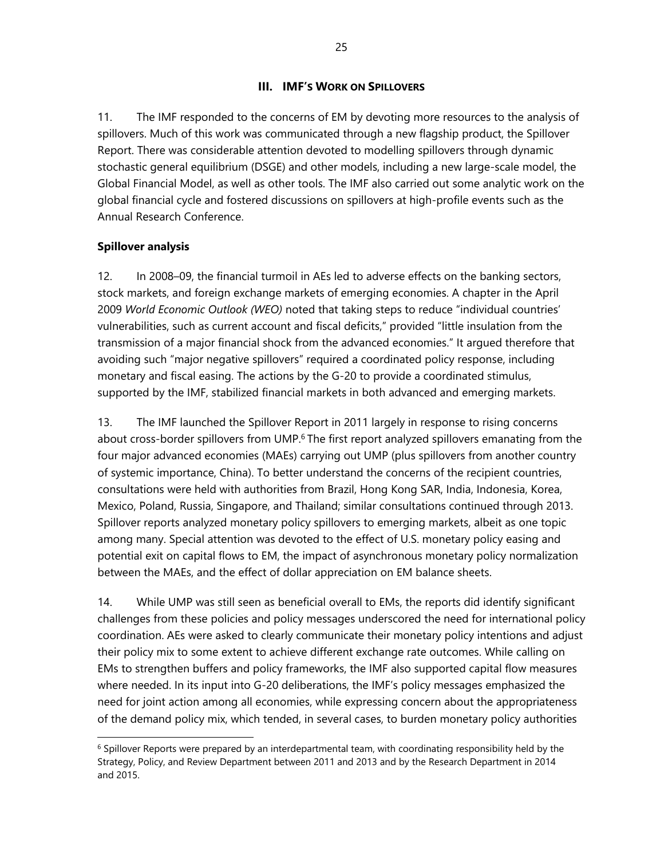### **III. IMF'S WORK ON SPILLOVERS**

11. The IMF responded to the concerns of EM by devoting more resources to the analysis of spillovers. Much of this work was communicated through a new flagship product, the Spillover Report. There was considerable attention devoted to modelling spillovers through dynamic stochastic general equilibrium (DSGE) and other models, including a new large-scale model, the Global Financial Model, as well as other tools. The IMF also carried out some analytic work on the global financial cycle and fostered discussions on spillovers at high-profile events such as the Annual Research Conference.

### **Spillover analysis**

 $\overline{a}$ 

12. In 2008–09, the financial turmoil in AEs led to adverse effects on the banking sectors, stock markets, and foreign exchange markets of emerging economies. A chapter in the April 2009 *World Economic Outlook (WEO)* noted that taking steps to reduce "individual countries' vulnerabilities, such as current account and fiscal deficits," provided "little insulation from the transmission of a major financial shock from the advanced economies." It argued therefore that avoiding such "major negative spillovers" required a coordinated policy response, including monetary and fiscal easing. The actions by the G-20 to provide a coordinated stimulus, supported by the IMF, stabilized financial markets in both advanced and emerging markets.

13. The IMF launched the Spillover Report in 2011 largely in response to rising concerns about cross-border spillovers from UMP.<sup>6</sup> The first report analyzed spillovers emanating from the four major advanced economies (MAEs) carrying out UMP (plus spillovers from another country of systemic importance, China). To better understand the concerns of the recipient countries, consultations were held with authorities from Brazil, Hong Kong SAR, India, Indonesia, Korea, Mexico, Poland, Russia, Singapore, and Thailand; similar consultations continued through 2013. Spillover reports analyzed monetary policy spillovers to emerging markets, albeit as one topic among many. Special attention was devoted to the effect of U.S. monetary policy easing and potential exit on capital flows to EM, the impact of asynchronous monetary policy normalization between the MAEs, and the effect of dollar appreciation on EM balance sheets.

14. While UMP was still seen as beneficial overall to EMs, the reports did identify significant challenges from these policies and policy messages underscored the need for international policy coordination. AEs were asked to clearly communicate their monetary policy intentions and adjust their policy mix to some extent to achieve different exchange rate outcomes. While calling on EMs to strengthen buffers and policy frameworks, the IMF also supported capital flow measures where needed. In its input into G-20 deliberations, the IMF's policy messages emphasized the need for joint action among all economies, while expressing concern about the appropriateness of the demand policy mix, which tended, in several cases, to burden monetary policy authorities

 $6$  Spillover Reports were prepared by an interdepartmental team, with coordinating responsibility held by the Strategy, Policy, and Review Department between 2011 and 2013 and by the Research Department in 2014 and 2015.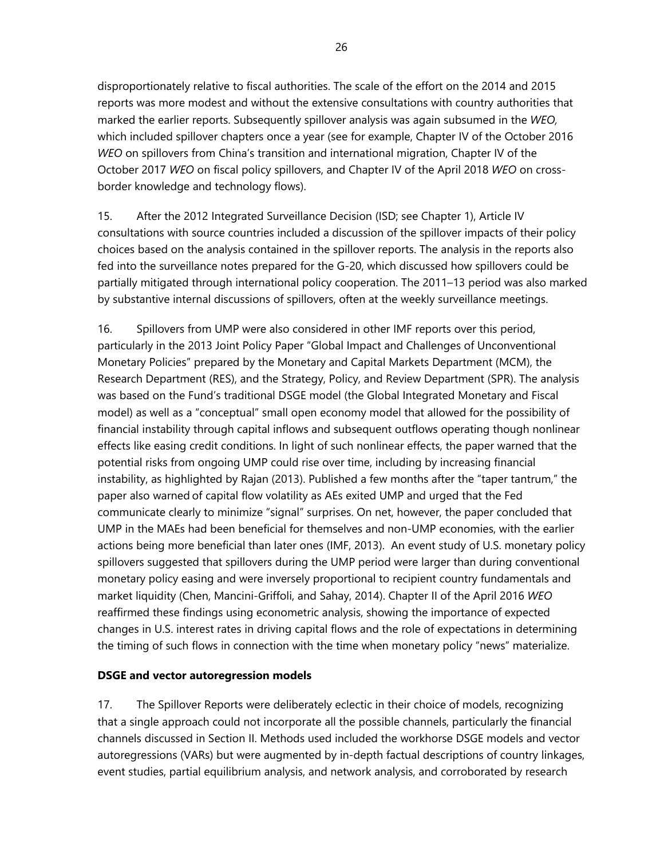disproportionately relative to fiscal authorities. The scale of the effort on the 2014 and 2015 reports was more modest and without the extensive consultations with country authorities that marked the earlier reports. Subsequently spillover analysis was again subsumed in the *WEO,* which included spillover chapters once a year (see for example, Chapter IV of the October 2016 *WEO* on spillovers from China's transition and international migration, Chapter IV of the October 2017 *WEO* on fiscal policy spillovers, and Chapter IV of the April 2018 *WEO* on crossborder knowledge and technology flows).

15. After the 2012 Integrated Surveillance Decision (ISD; see Chapter 1), Article IV consultations with source countries included a discussion of the spillover impacts of their policy choices based on the analysis contained in the spillover reports. The analysis in the reports also fed into the surveillance notes prepared for the G-20, which discussed how spillovers could be partially mitigated through international policy cooperation. The 2011–13 period was also marked by substantive internal discussions of spillovers, often at the weekly surveillance meetings.

16. Spillovers from UMP were also considered in other IMF reports over this period, particularly in the 2013 Joint Policy Paper "Global Impact and Challenges of Unconventional Monetary Policies" prepared by the Monetary and Capital Markets Department (MCM), the Research Department (RES), and the Strategy, Policy, and Review Department (SPR). The analysis was based on the Fund's traditional DSGE model (the Global Integrated Monetary and Fiscal model) as well as a "conceptual" small open economy model that allowed for the possibility of financial instability through capital inflows and subsequent outflows operating though nonlinear effects like easing credit conditions. In light of such nonlinear effects, the paper warned that the potential risks from ongoing UMP could rise over time, including by increasing financial instability, as highlighted by Rajan (2013). Published a few months after the "taper tantrum," the paper also warned of capital flow volatility as AEs exited UMP and urged that the Fed communicate clearly to minimize "signal" surprises. On net, however, the paper concluded that UMP in the MAEs had been beneficial for themselves and non-UMP economies, with the earlier actions being more beneficial than later ones (IMF, 2013). An event study of U.S. monetary policy spillovers suggested that spillovers during the UMP period were larger than during conventional monetary policy easing and were inversely proportional to recipient country fundamentals and market liquidity (Chen, Mancini-Griffoli, and Sahay, 2014). Chapter II of the April 2016 *WEO* reaffirmed these findings using econometric analysis, showing the importance of expected changes in U.S. interest rates in driving capital flows and the role of expectations in determining the timing of such flows in connection with the time when monetary policy "news" materialize.

### **DSGE and vector autoregression models**

17. The Spillover Reports were deliberately eclectic in their choice of models, recognizing that a single approach could not incorporate all the possible channels, particularly the financial channels discussed in Section II. Methods used included the workhorse DSGE models and vector autoregressions (VARs) but were augmented by in-depth factual descriptions of country linkages, event studies, partial equilibrium analysis, and network analysis, and corroborated by research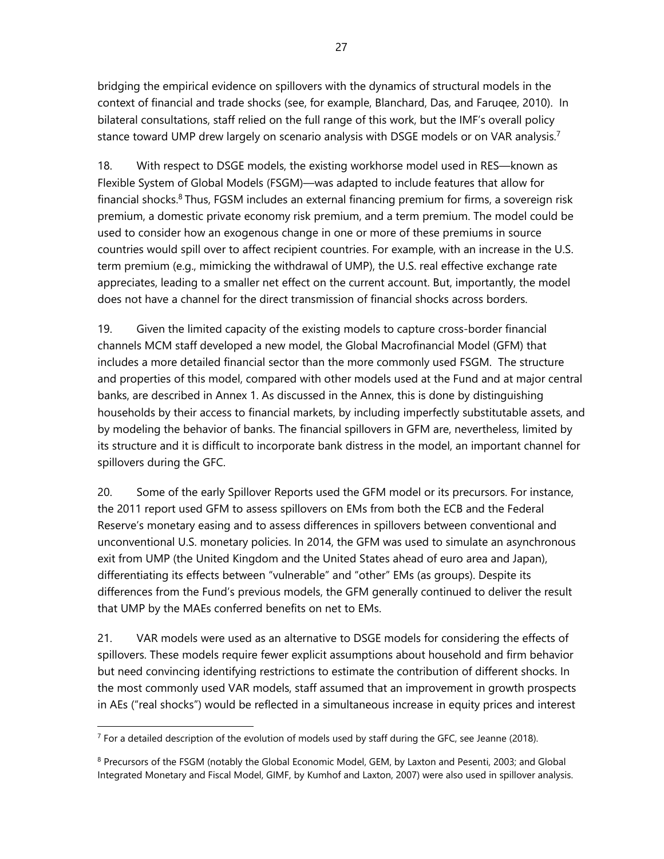bridging the empirical evidence on spillovers with the dynamics of structural models in the context of financial and trade shocks (see, for example, Blanchard, Das, and Faruqee, 2010). In bilateral consultations, staff relied on the full range of this work, but the IMF's overall policy stance toward UMP drew largely on scenario analysis with DSGE models or on VAR analysis.<sup>7</sup>

18. With respect to DSGE models, the existing workhorse model used in RES—known as Flexible System of Global Models (FSGM)—was adapted to include features that allow for financial shocks. $8$  Thus, FGSM includes an external financing premium for firms, a sovereign risk premium, a domestic private economy risk premium, and a term premium. The model could be used to consider how an exogenous change in one or more of these premiums in source countries would spill over to affect recipient countries. For example, with an increase in the U.S. term premium (e.g., mimicking the withdrawal of UMP), the U.S. real effective exchange rate appreciates, leading to a smaller net effect on the current account. But, importantly, the model does not have a channel for the direct transmission of financial shocks across borders.

19. Given the limited capacity of the existing models to capture cross-border financial channels MCM staff developed a new model, the Global Macrofinancial Model (GFM) that includes a more detailed financial sector than the more commonly used FSGM. The structure and properties of this model, compared with other models used at the Fund and at major central banks, are described in Annex 1. As discussed in the Annex, this is done by distinguishing households by their access to financial markets, by including imperfectly substitutable assets, and by modeling the behavior of banks. The financial spillovers in GFM are, nevertheless, limited by its structure and it is difficult to incorporate bank distress in the model, an important channel for spillovers during the GFC.

20. Some of the early Spillover Reports used the GFM model or its precursors. For instance, the 2011 report used GFM to assess spillovers on EMs from both the ECB and the Federal Reserve's monetary easing and to assess differences in spillovers between conventional and unconventional U.S. monetary policies. In 2014, the GFM was used to simulate an asynchronous exit from UMP (the United Kingdom and the United States ahead of euro area and Japan), differentiating its effects between "vulnerable" and "other" EMs (as groups). Despite its differences from the Fund's previous models, the GFM generally continued to deliver the result that UMP by the MAEs conferred benefits on net to EMs.

21. VAR models were used as an alternative to DSGE models for considering the effects of spillovers. These models require fewer explicit assumptions about household and firm behavior but need convincing identifying restrictions to estimate the contribution of different shocks. In the most commonly used VAR models, staff assumed that an improvement in growth prospects in AEs ("real shocks") would be reflected in a simultaneous increase in equity prices and interest

 $<sup>7</sup>$  For a detailed description of the evolution of models used by staff during the GFC, see Jeanne (2018).</sup>

<sup>&</sup>lt;sup>8</sup> Precursors of the FSGM (notably the Global Economic Model, GEM, by Laxton and Pesenti, 2003; and Global Integrated Monetary and Fiscal Model, GIMF, by Kumhof and Laxton, 2007) were also used in spillover analysis.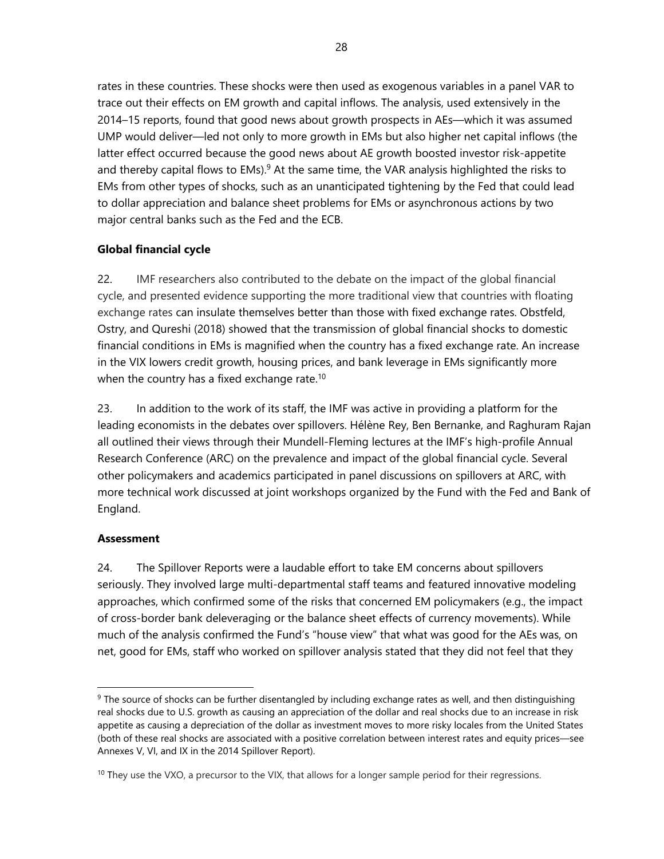rates in these countries. These shocks were then used as exogenous variables in a panel VAR to trace out their effects on EM growth and capital inflows. The analysis, used extensively in the 2014–15 reports, found that good news about growth prospects in AEs—which it was assumed UMP would deliver—led not only to more growth in EMs but also higher net capital inflows (the latter effect occurred because the good news about AE growth boosted investor risk-appetite and thereby capital flows to EMs).<sup>9</sup> At the same time, the VAR analysis highlighted the risks to EMs from other types of shocks, such as an unanticipated tightening by the Fed that could lead to dollar appreciation and balance sheet problems for EMs or asynchronous actions by two major central banks such as the Fed and the ECB.

### **Global financial cycle**

22. IMF researchers also contributed to the debate on the impact of the global financial cycle, and presented evidence supporting the more traditional view that countries with floating exchange rates can insulate themselves better than those with fixed exchange rates. Obstfeld, Ostry, and Qureshi (2018) showed that the transmission of global financial shocks to domestic financial conditions in EMs is magnified when the country has a fixed exchange rate. An increase in the VIX lowers credit growth, housing prices, and bank leverage in EMs significantly more when the country has a fixed exchange rate.<sup>10</sup>

23. In addition to the work of its staff, the IMF was active in providing a platform for the leading economists in the debates over spillovers. Hélène Rey, Ben Bernanke, and Raghuram Rajan all outlined their views through their Mundell-Fleming lectures at the IMF's high-profile Annual Research Conference (ARC) on the prevalence and impact of the global financial cycle. Several other policymakers and academics participated in panel discussions on spillovers at ARC, with more technical work discussed at joint workshops organized by the Fund with the Fed and Bank of England.

### **Assessment**

 $\overline{a}$ 

24. The Spillover Reports were a laudable effort to take EM concerns about spillovers seriously. They involved large multi-departmental staff teams and featured innovative modeling approaches, which confirmed some of the risks that concerned EM policymakers (e.g., the impact of cross-border bank deleveraging or the balance sheet effects of currency movements). While much of the analysis confirmed the Fund's "house view" that what was good for the AEs was, on net, good for EMs, staff who worked on spillover analysis stated that they did not feel that they

<sup>&</sup>lt;sup>9</sup> The source of shocks can be further disentangled by including exchange rates as well, and then distinguishing real shocks due to U.S. growth as causing an appreciation of the dollar and real shocks due to an increase in risk appetite as causing a depreciation of the dollar as investment moves to more risky locales from the United States (both of these real shocks are associated with a positive correlation between interest rates and equity prices—see Annexes V, VI, and IX in the 2014 Spillover Report).

 $10$  They use the VXO, a precursor to the VIX, that allows for a longer sample period for their regressions.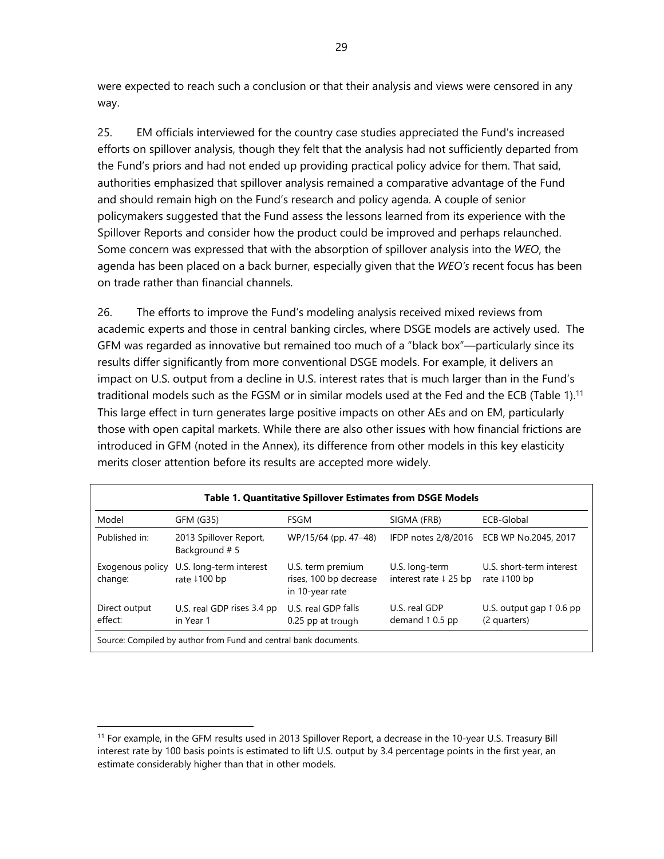were expected to reach such a conclusion or that their analysis and views were censored in any way.

25. EM officials interviewed for the country case studies appreciated the Fund's increased efforts on spillover analysis, though they felt that the analysis had not sufficiently departed from the Fund's priors and had not ended up providing practical policy advice for them. That said, authorities emphasized that spillover analysis remained a comparative advantage of the Fund and should remain high on the Fund's research and policy agenda. A couple of senior policymakers suggested that the Fund assess the lessons learned from its experience with the Spillover Reports and consider how the product could be improved and perhaps relaunched. Some concern was expressed that with the absorption of spillover analysis into the *WEO*, the agenda has been placed on a back burner, especially given that the *WEO's* recent focus has been on trade rather than financial channels.

26. The efforts to improve the Fund's modeling analysis received mixed reviews from academic experts and those in central banking circles, where DSGE models are actively used. The GFM was regarded as innovative but remained too much of a "black box"—particularly since its results differ significantly from more conventional DSGE models. For example, it delivers an impact on U.S. output from a decline in U.S. interest rates that is much larger than in the Fund's traditional models such as the FGSM or in similar models used at the Fed and the ECB (Table 1).<sup>11</sup> This large effect in turn generates large positive impacts on other AEs and on EM, particularly those with open capital markets. While there are also other issues with how financial frictions are introduced in GFM (noted in the Annex), its difference from other models in this key elasticity merits closer attention before its results are accepted more widely.

| <b>Table 1. Quantitative Spillover Estimates from DSGE Models</b> |                                         |                                                                |                                                    |                                                   |  |
|-------------------------------------------------------------------|-----------------------------------------|----------------------------------------------------------------|----------------------------------------------------|---------------------------------------------------|--|
| Model                                                             | GFM (G35)                               | FSGM                                                           | SIGMA (FRB)                                        | ECB-Global                                        |  |
| Published in:                                                     | 2013 Spillover Report,<br>Background #5 | WP/15/64 (pp. 47-48)                                           | IFDP notes 2/8/2016                                | ECB WP No.2045, 2017                              |  |
| Exogenous policy<br>change:                                       | U.S. long-term interest<br>rate 1100 bp | U.S. term premium<br>rises, 100 bp decrease<br>in 10-year rate | U.S. long-term<br>interest rate $\downarrow$ 25 bp | U.S. short-term interest<br>rate 1100 bp          |  |
| Direct output<br>effect:                                          | U.S. real GDP rises 3.4 pp<br>in Year 1 | U.S. real GDP falls<br>0.25 pp at trough                       | U.S. real GDP<br>demand $\uparrow$ 0.5 pp          | U.S. output gap $\uparrow$ 0.6 pp<br>(2 quarters) |  |
| Source: Compiled by author from Fund and central bank documents.  |                                         |                                                                |                                                    |                                                   |  |

<sup>11</sup> For example, in the GFM results used in 2013 Spillover Report, a decrease in the 10-year U.S. Treasury Bill interest rate by 100 basis points is estimated to lift U.S. output by 3.4 percentage points in the first year, an estimate considerably higher than that in other models.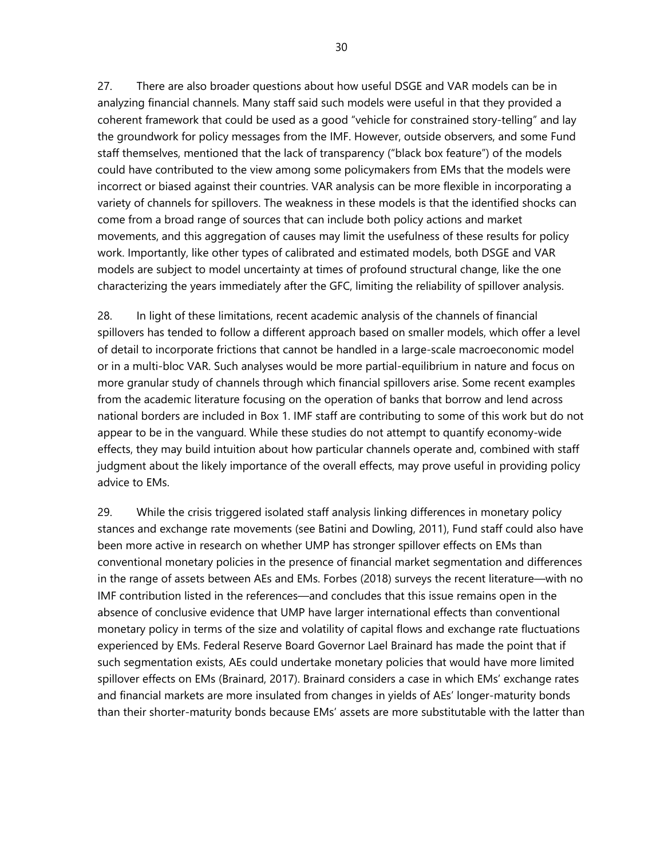27. There are also broader questions about how useful DSGE and VAR models can be in analyzing financial channels. Many staff said such models were useful in that they provided a coherent framework that could be used as a good "vehicle for constrained story-telling" and lay the groundwork for policy messages from the IMF. However, outside observers, and some Fund staff themselves, mentioned that the lack of transparency ("black box feature") of the models could have contributed to the view among some policymakers from EMs that the models were incorrect or biased against their countries. VAR analysis can be more flexible in incorporating a variety of channels for spillovers. The weakness in these models is that the identified shocks can come from a broad range of sources that can include both policy actions and market movements, and this aggregation of causes may limit the usefulness of these results for policy work. Importantly, like other types of calibrated and estimated models, both DSGE and VAR models are subject to model uncertainty at times of profound structural change, like the one characterizing the years immediately after the GFC, limiting the reliability of spillover analysis.

28. In light of these limitations, recent academic analysis of the channels of financial spillovers has tended to follow a different approach based on smaller models, which offer a level of detail to incorporate frictions that cannot be handled in a large-scale macroeconomic model or in a multi-bloc VAR. Such analyses would be more partial-equilibrium in nature and focus on more granular study of channels through which financial spillovers arise. Some recent examples from the academic literature focusing on the operation of banks that borrow and lend across national borders are included in Box 1. IMF staff are contributing to some of this work but do not appear to be in the vanguard. While these studies do not attempt to quantify economy-wide effects, they may build intuition about how particular channels operate and, combined with staff judgment about the likely importance of the overall effects, may prove useful in providing policy advice to EMs.

29. While the crisis triggered isolated staff analysis linking differences in monetary policy stances and exchange rate movements (see Batini and Dowling, 2011), Fund staff could also have been more active in research on whether UMP has stronger spillover effects on EMs than conventional monetary policies in the presence of financial market segmentation and differences in the range of assets between AEs and EMs. Forbes (2018) surveys the recent literature—with no IMF contribution listed in the references—and concludes that this issue remains open in the absence of conclusive evidence that UMP have larger international effects than conventional monetary policy in terms of the size and volatility of capital flows and exchange rate fluctuations experienced by EMs. Federal Reserve Board Governor Lael Brainard has made the point that if such segmentation exists, AEs could undertake monetary policies that would have more limited spillover effects on EMs (Brainard, 2017). Brainard considers a case in which EMs' exchange rates and financial markets are more insulated from changes in yields of AEs' longer-maturity bonds than their shorter-maturity bonds because EMs' assets are more substitutable with the latter than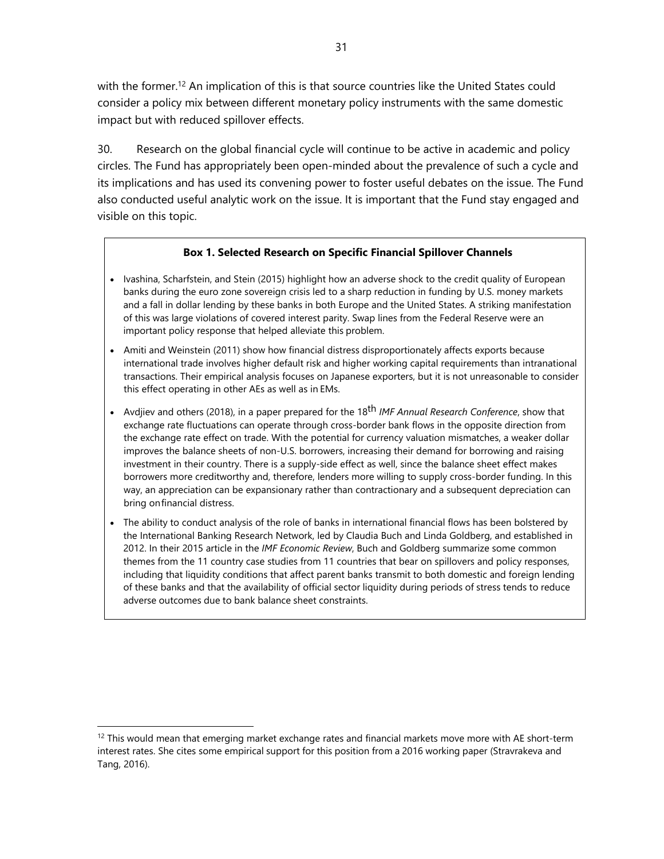with the former.<sup>12</sup> An implication of this is that source countries like the United States could consider a policy mix between different monetary policy instruments with the same domestic impact but with reduced spillover effects.

30. Research on the global financial cycle will continue to be active in academic and policy circles. The Fund has appropriately been open-minded about the prevalence of such a cycle and its implications and has used its convening power to foster useful debates on the issue. The Fund also conducted useful analytic work on the issue. It is important that the Fund stay engaged and visible on this topic.

### **Box 1. Selected Research on Specific Financial Spillover Channels**

- Ivashina, Scharfstein, and Stein (2015) highlight how an adverse shock to the credit quality of European banks during the euro zone sovereign crisis led to a sharp reduction in funding by U.S. money markets and a fall in dollar lending by these banks in both Europe and the United States. A striking manifestation of this was large violations of covered interest parity. Swap lines from the Federal Reserve were an important policy response that helped alleviate this problem.
- Amiti and Weinstein (2011) show how financial distress disproportionately affects exports because international trade involves higher default risk and higher working capital requirements than intranational transactions. Their empirical analysis focuses on Japanese exporters, but it is not unreasonable to consider this effect operating in other AEs as well as in EMs.
- Avdjiev and others (2018), in a paper prepared for the 18th *IMF Annual Research Conference*, show that exchange rate fluctuations can operate through cross-border bank flows in the opposite direction from the exchange rate effect on trade. With the potential for currency valuation mismatches, a weaker dollar improves the balance sheets of non-U.S. borrowers, increasing their demand for borrowing and raising investment in their country. There is a supply-side effect as well, since the balance sheet effect makes borrowers more creditworthy and, therefore, lenders more willing to supply cross-border funding. In this way, an appreciation can be expansionary rather than contractionary and a subsequent depreciation can bring on financial distress.
- The ability to conduct analysis of the role of banks in international financial flows has been bolstered by the International Banking Research Network, led by Claudia Buch and Linda Goldberg, and established in 2012. In their 2015 article in the *IMF Economic Review*, Buch and Goldberg summarize some common themes from the 11 country case studies from 11 countries that bear on spillovers and policy responses, including that liquidity conditions that affect parent banks transmit to both domestic and foreign lending of these banks and that the availability of official sector liquidity during periods of stress tends to reduce adverse outcomes due to bank balance sheet constraints.

<sup>&</sup>lt;sup>12</sup> This would mean that emerging market exchange rates and financial markets move more with AE short-term interest rates. She cites some empirical support for this position from a 2016 working paper (Stravrakeva and Tang, 2016).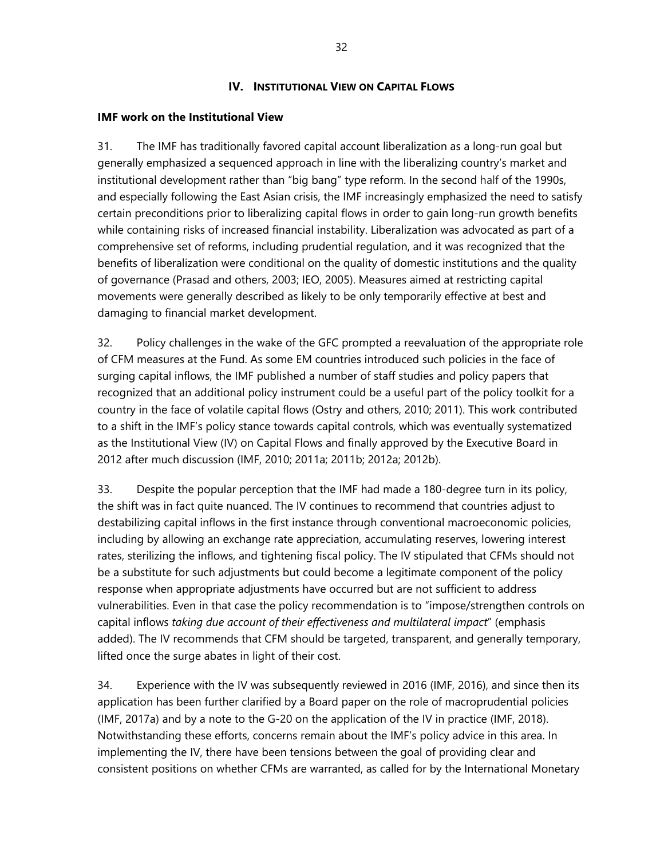### **IV. INSTITUTIONAL VIEW ON CAPITAL FLOWS**

### **IMF work on the Institutional View**

31. The IMF has traditionally favored capital account liberalization as a long-run goal but generally emphasized a sequenced approach in line with the liberalizing country's market and institutional development rather than "big bang" type reform. In the second half of the 1990s, and especially following the East Asian crisis, the IMF increasingly emphasized the need to satisfy certain preconditions prior to liberalizing capital flows in order to gain long-run growth benefits while containing risks of increased financial instability. Liberalization was advocated as part of a comprehensive set of reforms, including prudential regulation, and it was recognized that the benefits of liberalization were conditional on the quality of domestic institutions and the quality of governance (Prasad and others, 2003; IEO, 2005). Measures aimed at restricting capital movements were generally described as likely to be only temporarily effective at best and damaging to financial market development.

32. Policy challenges in the wake of the GFC prompted a reevaluation of the appropriate role of CFM measures at the Fund. As some EM countries introduced such policies in the face of surging capital inflows, the IMF published a number of staff studies and policy papers that recognized that an additional policy instrument could be a useful part of the policy toolkit for a country in the face of volatile capital flows (Ostry and others, 2010; 2011). This work contributed to a shift in the IMF's policy stance towards capital controls, which was eventually systematized as the Institutional View (IV) on Capital Flows and finally approved by the Executive Board in 2012 after much discussion (IMF, 2010; 2011a; 2011b; 2012a; 2012b).

33. Despite the popular perception that the IMF had made a 180-degree turn in its policy, the shift was in fact quite nuanced. The IV continues to recommend that countries adjust to destabilizing capital inflows in the first instance through conventional macroeconomic policies, including by allowing an exchange rate appreciation, accumulating reserves, lowering interest rates, sterilizing the inflows, and tightening fiscal policy. The IV stipulated that CFMs should not be a substitute for such adjustments but could become a legitimate component of the policy response when appropriate adjustments have occurred but are not sufficient to address vulnerabilities. Even in that case the policy recommendation is to "impose/strengthen controls on capital inflows *taking due account of their effectiveness and multilateral impact*" (emphasis added). The IV recommends that CFM should be targeted, transparent, and generally temporary, lifted once the surge abates in light of their cost.

34. Experience with the IV was subsequently reviewed in 2016 (IMF, 2016), and since then its application has been further clarified by a Board paper on the role of macroprudential policies (IMF, 2017a) and by a note to the G-20 on the application of the IV in practice (IMF, 2018). Notwithstanding these efforts, concerns remain about the IMF's policy advice in this area. In implementing the IV, there have been tensions between the goal of providing clear and consistent positions on whether CFMs are warranted, as called for by the International Monetary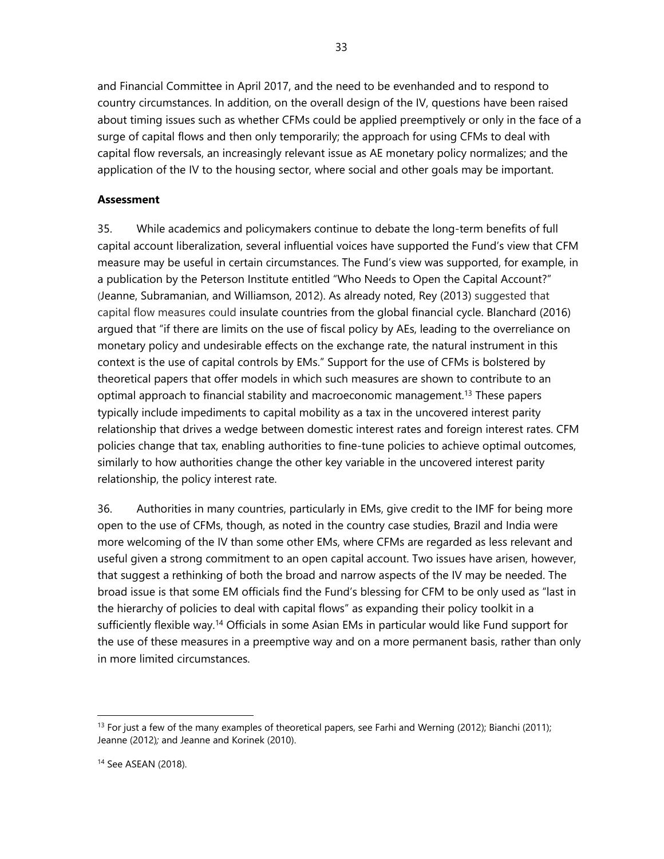and Financial Committee in April 2017, and the need to be evenhanded and to respond to country circumstances. In addition, on the overall design of the IV, questions have been raised about timing issues such as whether CFMs could be applied preemptively or only in the face of a surge of capital flows and then only temporarily; the approach for using CFMs to deal with capital flow reversals, an increasingly relevant issue as AE monetary policy normalizes; and the application of the IV to the housing sector, where social and other goals may be important.

### **Assessment**

35. While academics and policymakers continue to debate the long-term benefits of full capital account liberalization, several influential voices have supported the Fund's view that CFM measure may be useful in certain circumstances. The Fund's view was supported, for example, in a publication by the Peterson Institute entitled "Who Needs to Open the Capital Account?" (Jeanne, Subramanian, and Williamson, 2012). As already noted, Rey (2013) suggested that capital flow measures could insulate countries from the global financial cycle. Blanchard (2016) argued that "if there are limits on the use of fiscal policy by AEs, leading to the overreliance on monetary policy and undesirable effects on the exchange rate, the natural instrument in this context is the use of capital controls by EMs." Support for the use of CFMs is bolstered by theoretical papers that offer models in which such measures are shown to contribute to an optimal approach to financial stability and macroeconomic management.13 These papers typically include impediments to capital mobility as a tax in the uncovered interest parity relationship that drives a wedge between domestic interest rates and foreign interest rates. CFM policies change that tax, enabling authorities to fine-tune policies to achieve optimal outcomes, similarly to how authorities change the other key variable in the uncovered interest parity relationship, the policy interest rate.

36. Authorities in many countries, particularly in EMs, give credit to the IMF for being more open to the use of CFMs, though, as noted in the country case studies, Brazil and India were more welcoming of the IV than some other EMs, where CFMs are regarded as less relevant and useful given a strong commitment to an open capital account. Two issues have arisen, however, that suggest a rethinking of both the broad and narrow aspects of the IV may be needed. The broad issue is that some EM officials find the Fund's blessing for CFM to be only used as "last in the hierarchy of policies to deal with capital flows" as expanding their policy toolkit in a sufficiently flexible way.<sup>14</sup> Officials in some Asian EMs in particular would like Fund support for the use of these measures in a preemptive way and on a more permanent basis, rather than only in more limited circumstances.

 $13$  For just a few of the many examples of theoretical papers, see Farhi and Werning (2012); Bianchi (2011); Jeanne (2012)*;* and Jeanne and Korinek (2010).

<sup>14</sup> See ASEAN (2018).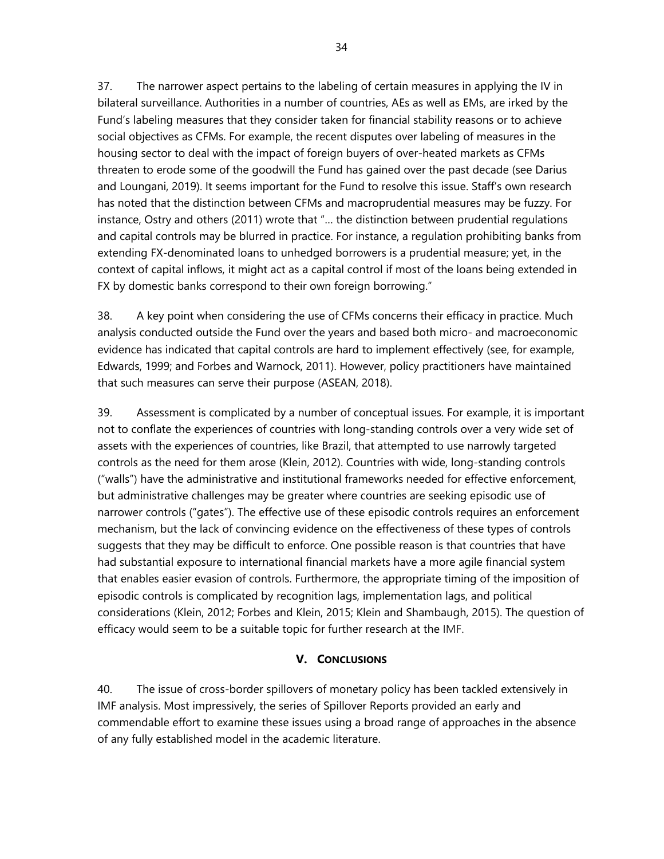37. The narrower aspect pertains to the labeling of certain measures in applying the IV in bilateral surveillance. Authorities in a number of countries, AEs as well as EMs, are irked by the Fund's labeling measures that they consider taken for financial stability reasons or to achieve social objectives as CFMs. For example, the recent disputes over labeling of measures in the housing sector to deal with the impact of foreign buyers of over-heated markets as CFMs threaten to erode some of the goodwill the Fund has gained over the past decade (see Darius and Loungani, 2019). It seems important for the Fund to resolve this issue. Staff's own research has noted that the distinction between CFMs and macroprudential measures may be fuzzy. For instance, Ostry and others (2011) wrote that "… the distinction between prudential regulations and capital controls may be blurred in practice. For instance, a regulation prohibiting banks from extending FX-denominated loans to unhedged borrowers is a prudential measure; yet, in the context of capital inflows, it might act as a capital control if most of the loans being extended in FX by domestic banks correspond to their own foreign borrowing."

38. A key point when considering the use of CFMs concerns their efficacy in practice. Much analysis conducted outside the Fund over the years and based both micro- and macroeconomic evidence has indicated that capital controls are hard to implement effectively (see, for example, Edwards, 1999; and Forbes and Warnock, 2011). However, policy practitioners have maintained that such measures can serve their purpose (ASEAN, 2018).

39. Assessment is complicated by a number of conceptual issues. For example, it is important not to conflate the experiences of countries with long-standing controls over a very wide set of assets with the experiences of countries, like Brazil, that attempted to use narrowly targeted controls as the need for them arose (Klein, 2012). Countries with wide, long-standing controls ("walls") have the administrative and institutional frameworks needed for effective enforcement, but administrative challenges may be greater where countries are seeking episodic use of narrower controls ("gates"). The effective use of these episodic controls requires an enforcement mechanism, but the lack of convincing evidence on the effectiveness of these types of controls suggests that they may be difficult to enforce. One possible reason is that countries that have had substantial exposure to international financial markets have a more agile financial system that enables easier evasion of controls. Furthermore, the appropriate timing of the imposition of episodic controls is complicated by recognition lags, implementation lags, and political considerations (Klein, 2012; Forbes and Klein, 2015; Klein and Shambaugh, 2015). The question of efficacy would seem to be a suitable topic for further research at the IMF.

## **V. CONCLUSIONS**

40. The issue of cross-border spillovers of monetary policy has been tackled extensively in IMF analysis. Most impressively, the series of Spillover Reports provided an early and commendable effort to examine these issues using a broad range of approaches in the absence of any fully established model in the academic literature.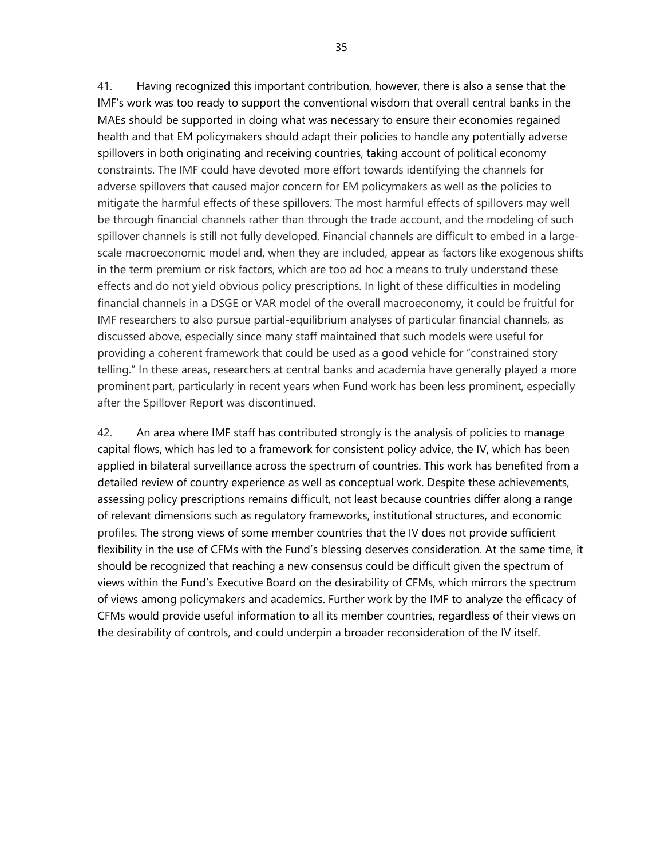41. Having recognized this important contribution, however, there is also a sense that the IMF's work was too ready to support the conventional wisdom that overall central banks in the MAEs should be supported in doing what was necessary to ensure their economies regained health and that EM policymakers should adapt their policies to handle any potentially adverse spillovers in both originating and receiving countries, taking account of political economy constraints. The IMF could have devoted more effort towards identifying the channels for adverse spillovers that caused major concern for EM policymakers as well as the policies to mitigate the harmful effects of these spillovers. The most harmful effects of spillovers may well be through financial channels rather than through the trade account, and the modeling of such spillover channels is still not fully developed. Financial channels are difficult to embed in a largescale macroeconomic model and, when they are included, appear as factors like exogenous shifts in the term premium or risk factors, which are too ad hoc a means to truly understand these effects and do not yield obvious policy prescriptions. In light of these difficulties in modeling financial channels in a DSGE or VAR model of the overall macroeconomy, it could be fruitful for IMF researchers to also pursue partial-equilibrium analyses of particular financial channels, as discussed above, especially since many staff maintained that such models were useful for providing a coherent framework that could be used as a good vehicle for "constrained story telling." In these areas, researchers at central banks and academia have generally played a more prominent part, particularly in recent years when Fund work has been less prominent, especially after the Spillover Report was discontinued.

42. An area where IMF staff has contributed strongly is the analysis of policies to manage capital flows, which has led to a framework for consistent policy advice, the IV, which has been applied in bilateral surveillance across the spectrum of countries. This work has benefited from a detailed review of country experience as well as conceptual work. Despite these achievements, assessing policy prescriptions remains difficult, not least because countries differ along a range of relevant dimensions such as regulatory frameworks, institutional structures, and economic profiles. The strong views of some member countries that the IV does not provide sufficient flexibility in the use of CFMs with the Fund's blessing deserves consideration. At the same time, it should be recognized that reaching a new consensus could be difficult given the spectrum of views within the Fund's Executive Board on the desirability of CFMs, which mirrors the spectrum of views among policymakers and academics. Further work by the IMF to analyze the efficacy of CFMs would provide useful information to all its member countries, regardless of their views on the desirability of controls, and could underpin a broader reconsideration of the IV itself.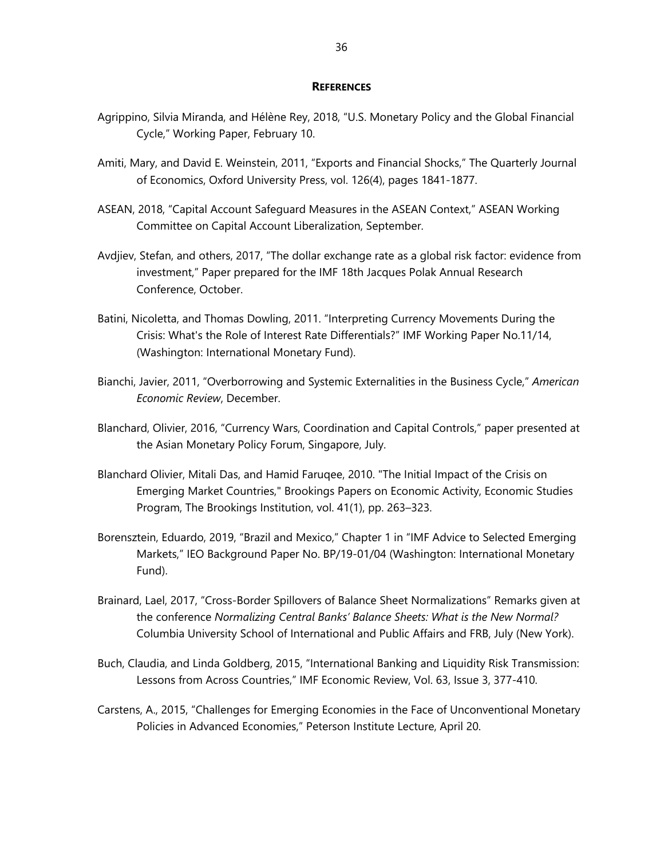#### **REFERENCES**

- Agrippino, Silvia Miranda, and Hélène Rey, 2018, "U.S. Monetary Policy and the Global Financial Cycle," Working Paper, February 10.
- Amiti, Mary, and David E. Weinstein, 2011, "Exports and Financial Shocks," The Quarterly Journal of Economics, Oxford University Press, vol. 126(4), pages 1841-1877.
- ASEAN, 2018, "Capital Account Safeguard Measures in the ASEAN Context," ASEAN Working Committee on Capital Account Liberalization, September.
- Avdjiev, Stefan, and others, 2017, "The dollar exchange rate as a global risk factor: evidence from investment," Paper prepared for the IMF 18th Jacques Polak Annual Research Conference, October.
- Batini, Nicoletta, and Thomas Dowling, 2011. "Interpreting Currency Movements During the Crisis: What's the Role of Interest Rate Differentials?" IMF Working Paper No.11/14, (Washington: International Monetary Fund).
- Bianchi, Javier, 2011, "Overborrowing and Systemic Externalities in the Business Cycle," *American Economic Review*, December.
- Blanchard, Olivier, 2016, "Currency Wars, Coordination and Capital Controls," paper presented at the Asian Monetary Policy Forum, Singapore, July.
- Blanchard Olivier, Mitali Das, and Hamid Faruqee, 2010. "The Initial Impact of the Crisis on Emerging Market Countries," Brookings Papers on Economic Activity, Economic Studies Program, The Brookings Institution, vol. 41(1), pp. 263–323.
- Borensztein, Eduardo, 2019, "Brazil and Mexico," Chapter 1 in "IMF Advice to Selected Emerging Markets," IEO Background Paper No. BP/19-01/04 (Washington: International Monetary Fund).
- Brainard, Lael, 2017, "Cross-Border Spillovers of Balance Sheet Normalizations" Remarks given at the conference *Normalizing Central Banks' Balance Sheets: What is the New Normal?*  Columbia University School of International and Public Affairs and FRB, July (New York).
- Buch, Claudia, and Linda Goldberg, 2015, "International Banking and Liquidity Risk Transmission: Lessons from Across Countries," IMF Economic Review, Vol. 63, Issue 3, 377-410.
- Carstens, A., 2015, "Challenges for Emerging Economies in the Face of Unconventional Monetary Policies in Advanced Economies," Peterson Institute Lecture, April 20.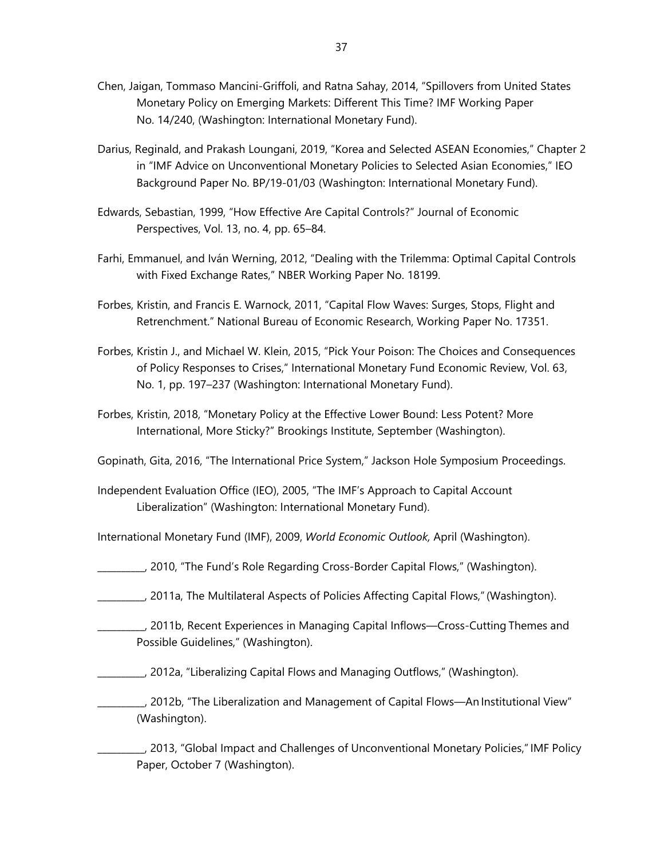- Chen, Jaigan, Tommaso Mancini-Griffoli, and Ratna Sahay, 2014, "Spillovers from United States Monetary Policy on Emerging Markets: Different This Time? IMF Working Paper No. 14/240, (Washington: International Monetary Fund).
- Darius, Reginald, and Prakash Loungani, 2019, "Korea and Selected ASEAN Economies," Chapter 2 in "IMF Advice on Unconventional Monetary Policies to Selected Asian Economies," IEO Background Paper No. BP/19-01/03 (Washington: International Monetary Fund).
- Edwards, Sebastian, 1999, "How Effective Are Capital Controls?" Journal of Economic Perspectives, Vol. 13, no. 4, pp. 65–84.
- Farhi, Emmanuel, and Iván Werning, 2012, "Dealing with the Trilemma: Optimal Capital Controls with Fixed Exchange Rates," NBER Working Paper No. 18199.
- Forbes, Kristin, and Francis E. Warnock, 2011, "Capital Flow Waves: Surges, Stops, Flight and Retrenchment." National Bureau of Economic Research, Working Paper No. 17351.
- Forbes, Kristin J., and Michael W. Klein, 2015, "Pick Your Poison: The Choices and Consequences of Policy Responses to Crises," International Monetary Fund Economic Review, Vol. 63, No. 1, pp. 197–237 (Washington: International Monetary Fund).
- Forbes, Kristin, 2018, "Monetary Policy at the Effective Lower Bound: Less Potent? More International, More Sticky?" Brookings Institute, September (Washington).

Gopinath, Gita, 2016, "The International Price System," Jackson Hole Symposium Proceedings.

- Independent Evaluation Office (IEO), 2005, "The IMF's Approach to Capital Account Liberalization" (Washington: International Monetary Fund).
- International Monetary Fund (IMF), 2009, *World Economic Outlook,* April (Washington).
- \_\_\_\_\_\_\_\_\_\_, 2010, "The Fund's Role Regarding Cross-Border Capital Flows," (Washington).
- \_\_\_\_\_\_\_\_\_\_, 2011a, The Multilateral Aspects of Policies Affecting Capital Flows," (Washington).
- \_\_\_\_\_\_\_\_\_\_, 2011b, Recent Experiences in Managing Capital Inflows—Cross-Cutting Themes and Possible Guidelines," (Washington).
- \_\_\_\_\_\_\_\_\_\_, 2012a, "Liberalizing Capital Flows and Managing Outflows," (Washington).
	- \_\_\_\_\_\_\_\_\_\_, 2012b, "The Liberalization and Management of Capital Flows—An Institutional View" (Washington).

\_\_\_\_\_\_\_\_\_\_, 2013, "Global Impact and Challenges of Unconventional Monetary Policies," IMF Policy Paper, October 7 (Washington).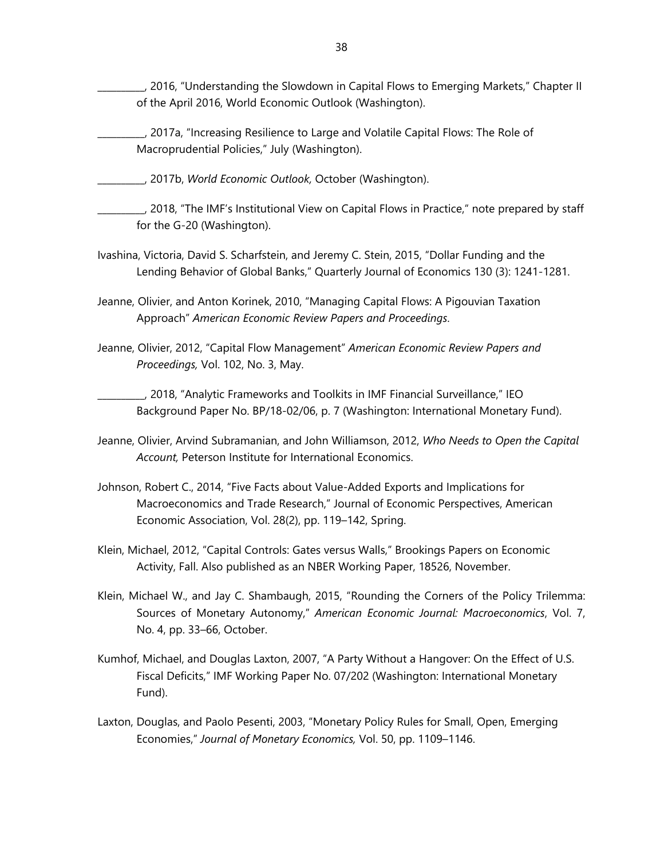\_\_\_\_\_\_\_\_\_\_, 2016, "Understanding the Slowdown in Capital Flows to Emerging Markets," Chapter II of the April 2016, World Economic Outlook (Washington).

- \_\_\_\_\_\_\_\_\_\_, 2017a, "Increasing Resilience to Large and Volatile Capital Flows: The Role of Macroprudential Policies," July (Washington).
- \_\_\_\_\_\_\_\_\_\_, 2017b, *World Economic Outlook,* October (Washington).
- \_\_\_\_\_\_\_\_\_\_, 2018, "The IMF's Institutional View on Capital Flows in Practice," note prepared by staff for the G-20 (Washington).
- Ivashina, Victoria, David S. Scharfstein, and Jeremy C. Stein, 2015, "Dollar Funding and the Lending Behavior of Global Banks," Quarterly Journal of Economics 130 (3): 1241-1281.
- Jeanne, Olivier, and Anton Korinek, 2010, "Managing Capital Flows: A Pigouvian Taxation Approach" *American Economic Review Papers and Proceedings*.
- Jeanne, Olivier, 2012, "Capital Flow Management" *American Economic Review Papers and Proceedings,* Vol. 102, No. 3, May.

\_\_\_\_\_\_\_\_\_\_, 2018, "Analytic Frameworks and Toolkits in IMF Financial Surveillance," IEO Background Paper No. BP/18-02/06, p. 7 (Washington: International Monetary Fund).

- Jeanne, Olivier, Arvind Subramanian, and John Williamson, 2012, *Who Needs to Open the Capital Account,* Peterson Institute for International Economics.
- Johnson, Robert C., 2014, "Five Facts about Value-Added Exports and Implications for Macroeconomics and Trade Research," Journal of Economic Perspectives, American Economic Association, Vol. 28(2), pp. 119–142, Spring.
- Klein, Michael, 2012, "Capital Controls: Gates versus Walls," Brookings Papers on Economic Activity, Fall. Also published as an NBER Working Paper, 18526, November.
- Klein, Michael W., and Jay C. Shambaugh, 2015, "Rounding the Corners of the Policy Trilemma: Sources of Monetary Autonomy," *American Economic Journal: Macroeconomics*, Vol. 7, No. 4, pp. 33–66, October.
- Kumhof, Michael, and Douglas Laxton, 2007, "A Party Without a Hangover: On the Effect of U.S. Fiscal Deficits," IMF Working Paper No. 07/202 (Washington: International Monetary Fund).
- Laxton, Douglas, and Paolo Pesenti, 2003, "Monetary Policy Rules for Small, Open, Emerging Economies," *Journal of Monetary Economics,* Vol. 50, pp. 1109–1146.